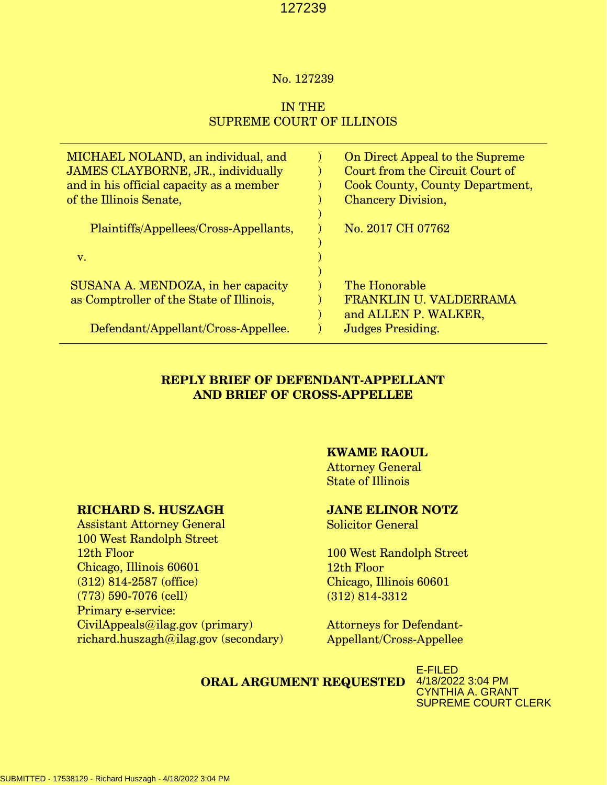#### No. 127239

### IN THE SUPREME COURT OF ILLINOIS

| MICHAEL NOLAND, an individual, and<br>JAMES CLAYBORNE, JR., individually<br>and in his official capacity as a member<br>of the Illinois Senate, | On Direct Appeal to the Supreme<br>Court from the Circuit Court of<br>Cook County, County Department,<br><b>Chancery Division,</b> |
|-------------------------------------------------------------------------------------------------------------------------------------------------|------------------------------------------------------------------------------------------------------------------------------------|
| Plaintiffs/Appellees/Cross-Appellants,                                                                                                          | No. 2017 CH 07762                                                                                                                  |
| $\mathbf{v}$ .                                                                                                                                  |                                                                                                                                    |
| SUSANA A. MENDOZA, in her capacity                                                                                                              | The Honorable                                                                                                                      |
| as Comptroller of the State of Illinois,                                                                                                        | FRANKLIN U. VALDERRAMA<br>and ALLEN P. WALKER,                                                                                     |
| Defendant/Appellant/Cross-Appellee.                                                                                                             | <b>Judges Presiding.</b>                                                                                                           |

### REPLY BRIEF OF DEFENDANT-APPELLANT AND BRIEF OF CROSS-APPELLEE

#### KWAME RAOUL

Attorney General State of Illinois

## JANE ELINOR NOTZ

Solicitor General

100 West Randolph Street 12th Floor Chicago, Illinois 60601 (312) 814-3312

Attorneys for Defendant-Appellant/Cross-Appellee

### ORAL ARGUMENT REQUESTED

E-FILED 4/18/2022 3:04 PM CYNTHIA A. GRANT SUPREME COURT CLERK

### RICHARD S. HUSZAGH

Assistant Attorney General 100 West Randolph Street 12th Floor Chicago, Illinois 60601 (312) 814-2587 (office) (773) 590-7076 (cell) Primary e-service: CivilAppeals@ilag.gov (primary) richard.huszagh@ilag.gov (secondary)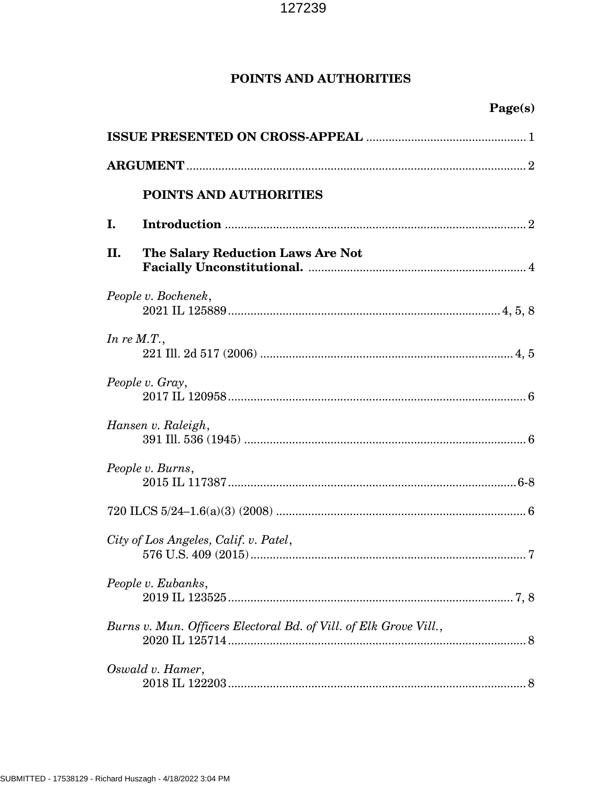## POINTS AND AUTHORITIES

|                | POINTS AND AUTHORITIES                                            |  |
|----------------|-------------------------------------------------------------------|--|
| I.             |                                                                   |  |
| П.             | The Salary Reduction Laws Are Not                                 |  |
|                | People v. Bochenek,                                               |  |
| In re $M.T.$ , |                                                                   |  |
|                | People v. Gray,                                                   |  |
|                | Hansen v. Raleigh,                                                |  |
|                | People v. Burns,                                                  |  |
|                |                                                                   |  |
|                | City of Los Angeles, Calif. v. Patel,                             |  |
|                | People v. Eubanks,                                                |  |
|                | Burns v. Mun. Officers Electoral Bd. of Vill. of Elk Grove Vill., |  |
|                | Oswald v. Hamer,                                                  |  |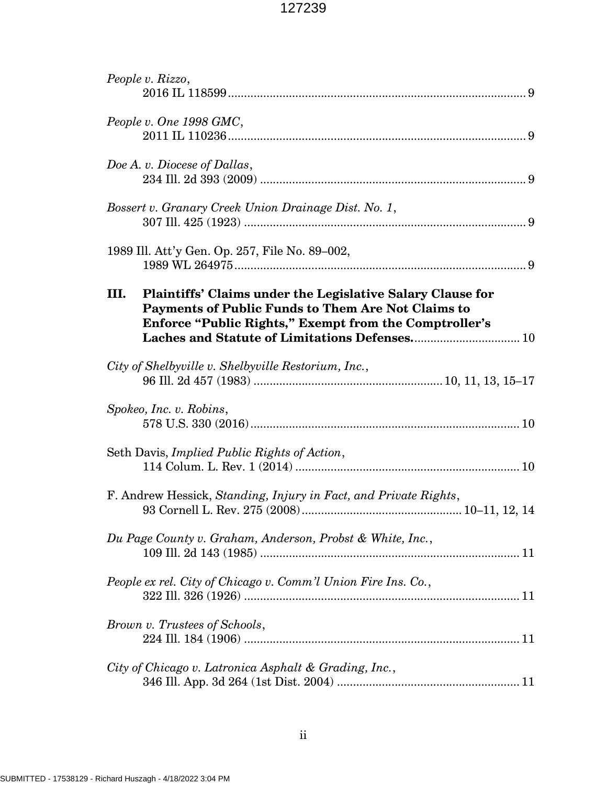| People v. Rizzo,                                                                                                                                                                          |
|-------------------------------------------------------------------------------------------------------------------------------------------------------------------------------------------|
| People v. One 1998 GMC,                                                                                                                                                                   |
| Doe A. v. Diocese of Dallas,                                                                                                                                                              |
| Bossert v. Granary Creek Union Drainage Dist. No. 1,                                                                                                                                      |
| 1989 Ill. Att'y Gen. Op. 257, File No. 89-002,                                                                                                                                            |
| Plaintiffs' Claims under the Legislative Salary Clause for<br>III.<br>Payments of Public Funds to Them Are Not Claims to<br><b>Enforce "Public Rights," Exempt from the Comptroller's</b> |
| City of Shelbyville v. Shelbyville Restorium, Inc.,                                                                                                                                       |
| Spokeo, Inc. v. Robins,                                                                                                                                                                   |
| Seth Davis, <i>Implied Public Rights of Action</i> ,                                                                                                                                      |
| F. Andrew Hessick, Standing, Injury in Fact, and Private Rights,                                                                                                                          |
| Du Page County v. Graham, Anderson, Probst & White, Inc.,                                                                                                                                 |
| People ex rel. City of Chicago v. Comm'l Union Fire Ins. Co.,                                                                                                                             |
| Brown v. Trustees of Schools,                                                                                                                                                             |
| City of Chicago v. Latronica Asphalt & Grading, Inc.,                                                                                                                                     |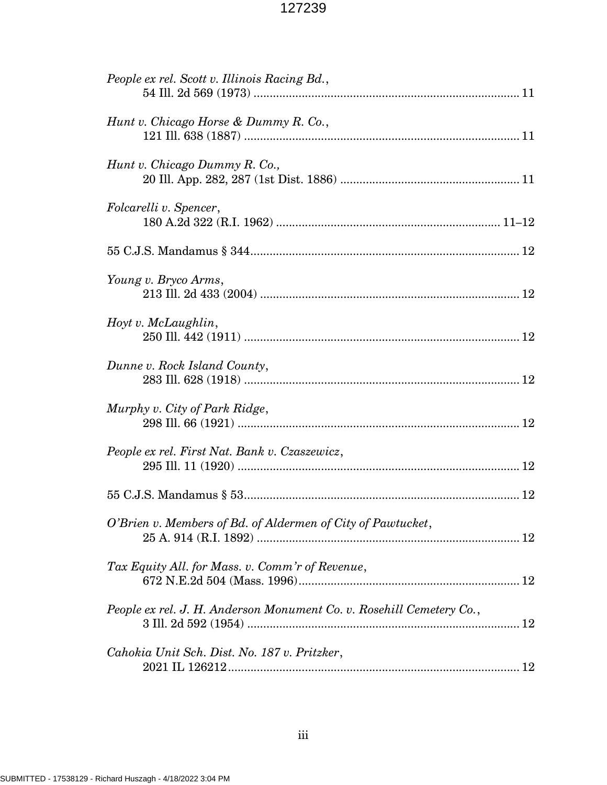| People ex rel. Scott v. Illinois Racing Bd.,                         |
|----------------------------------------------------------------------|
| Hunt v. Chicago Horse & Dummy R. Co.,                                |
| Hunt v. Chicago Dummy R. Co.,                                        |
| Folcarelli v. Spencer,                                               |
|                                                                      |
| Young v. Bryco Arms,                                                 |
| Hoyt v. McLaughlin,                                                  |
| Dunne v. Rock Island County,                                         |
| Murphy v. City of Park Ridge,                                        |
| People ex rel. First Nat. Bank v. Czaszewicz,                        |
|                                                                      |
| O'Brien v. Members of Bd. of Aldermen of City of Pawtucket,          |
| Tax Equity All. for Mass. v. Comm'r of Revenue,                      |
| People ex rel. J. H. Anderson Monument Co. v. Rosehill Cemetery Co., |
| Cahokia Unit Sch. Dist. No. 187 v. Pritzker,                         |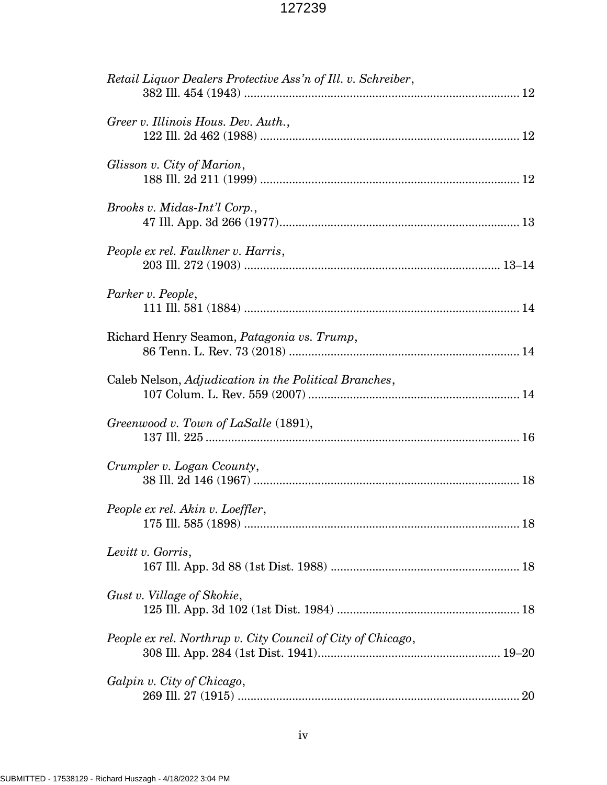| Retail Liquor Dealers Protective Ass'n of Ill. v. Schreiber, |
|--------------------------------------------------------------|
| Greer v. Illinois Hous. Dev. Auth.,                          |
| Glisson v. City of Marion,                                   |
| Brooks v. Midas-Int'l Corp.,                                 |
| People ex rel. Faulkner v. Harris,                           |
| Parker v. People,                                            |
| Richard Henry Seamon, Patagonia vs. Trump,                   |
| Caleb Nelson, Adjudication in the Political Branches,        |
| Greenwood v. Town of LaSalle (1891),                         |
| Crumpler v. Logan Ccounty,                                   |
| People ex rel. Akin v. Loeffler,                             |
| Levitt v. Gorris,                                            |
| Gust v. Village of Skokie,                                   |
| People ex rel. Northrup v. City Council of City of Chicago,  |
| Galpin v. City of Chicago,                                   |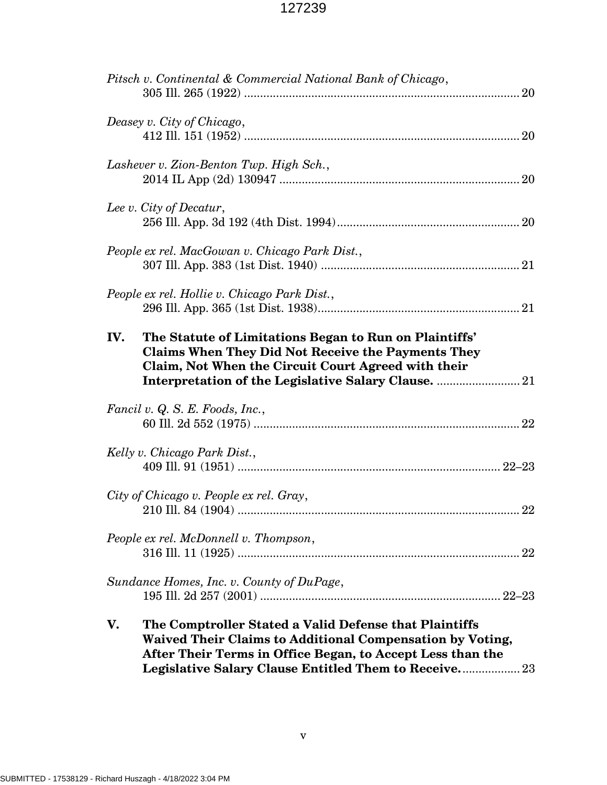|     | Pitsch v. Continental & Commercial National Bank of Chicago,                                                                                                                                                                               |
|-----|--------------------------------------------------------------------------------------------------------------------------------------------------------------------------------------------------------------------------------------------|
|     | Deasey v. City of Chicago,                                                                                                                                                                                                                 |
|     | Lashever v. Zion-Benton Twp. High Sch.,                                                                                                                                                                                                    |
|     | Lee v. City of Decatur,                                                                                                                                                                                                                    |
|     | People ex rel. MacGowan v. Chicago Park Dist.,                                                                                                                                                                                             |
|     | People ex rel. Hollie v. Chicago Park Dist.,                                                                                                                                                                                               |
| IV. | The Statute of Limitations Began to Run on Plaintiffs'<br><b>Claims When They Did Not Receive the Payments They</b><br>Claim, Not When the Circuit Court Agreed with their                                                                 |
|     | Fancil v. Q. S. E. Foods, Inc.,                                                                                                                                                                                                            |
|     | Kelly v. Chicago Park Dist.,                                                                                                                                                                                                               |
|     | City of Chicago v. People ex rel. Gray,                                                                                                                                                                                                    |
|     | People ex rel. McDonnell v. Thompson,                                                                                                                                                                                                      |
|     | Sundance Homes, Inc. v. County of DuPage,                                                                                                                                                                                                  |
| V.  | The Comptroller Stated a Valid Defense that Plaintiffs<br>Waived Their Claims to Additional Compensation by Voting,<br>After Their Terms in Office Began, to Accept Less than the<br>Legislative Salary Clause Entitled Them to Receive 23 |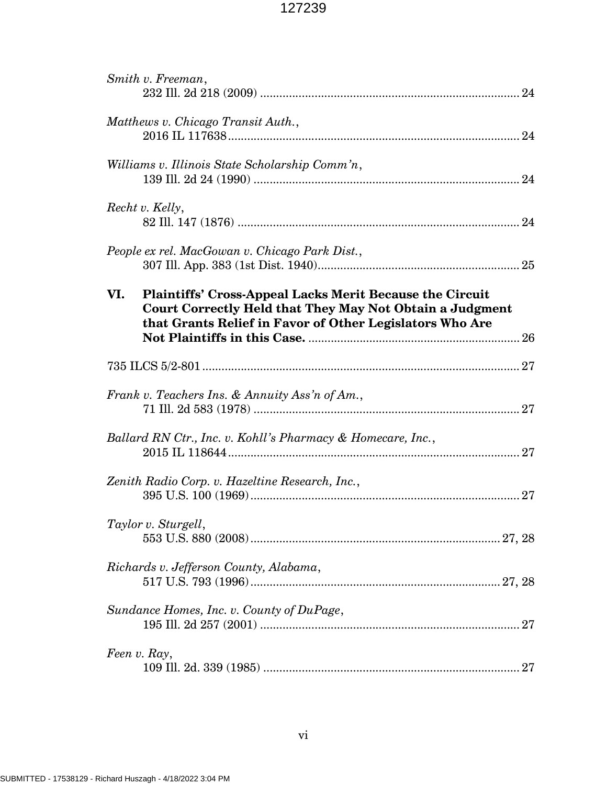| Smith v. Freeman,                                                                                                                                                                              |
|------------------------------------------------------------------------------------------------------------------------------------------------------------------------------------------------|
| Matthews v. Chicago Transit Auth.,                                                                                                                                                             |
| Williams v. Illinois State Scholarship Comm'n,                                                                                                                                                 |
| Recht v. Kelly,                                                                                                                                                                                |
| People ex rel. MacGowan v. Chicago Park Dist.,                                                                                                                                                 |
| VI.<br><b>Plaintiffs' Cross-Appeal Lacks Merit Because the Circuit</b><br>Court Correctly Held that They May Not Obtain a Judgment<br>that Grants Relief in Favor of Other Legislators Who Are |
|                                                                                                                                                                                                |
| Frank v. Teachers Ins. & Annuity Ass'n of Am.,                                                                                                                                                 |
| Ballard RN Ctr., Inc. v. Kohll's Pharmacy & Homecare, Inc.,                                                                                                                                    |
| Zenith Radio Corp. v. Hazeltine Research, Inc.,                                                                                                                                                |
| Taylor v. Sturgell,                                                                                                                                                                            |
| Richards v. Jefferson County, Alabama,                                                                                                                                                         |
| Sundance Homes, Inc. v. County of DuPage,                                                                                                                                                      |
| Feen v. Ray,                                                                                                                                                                                   |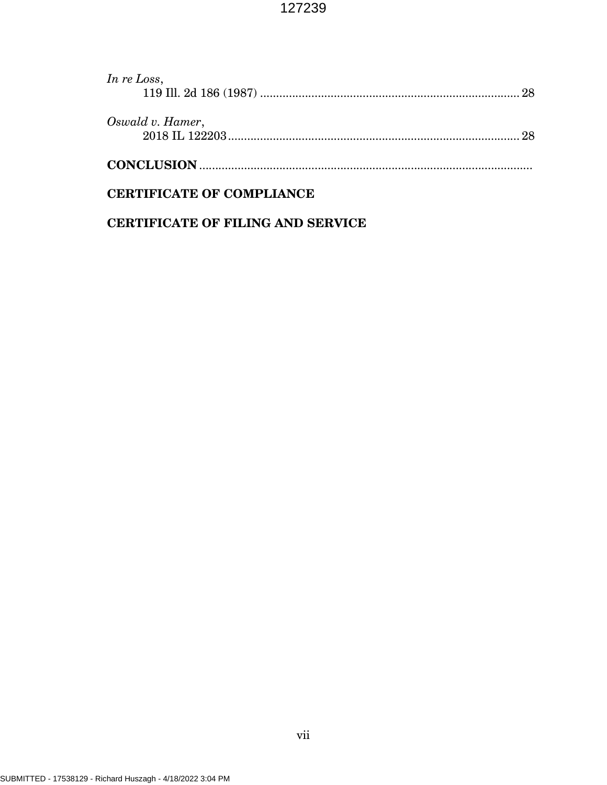| In re Loss,      | 28 |
|------------------|----|
|                  |    |
| Oswald v. Hamer, |    |
|                  |    |

# CERTIFICATE OF COMPLIANCE

## CERTIFICATE OF FILING AND SERVICE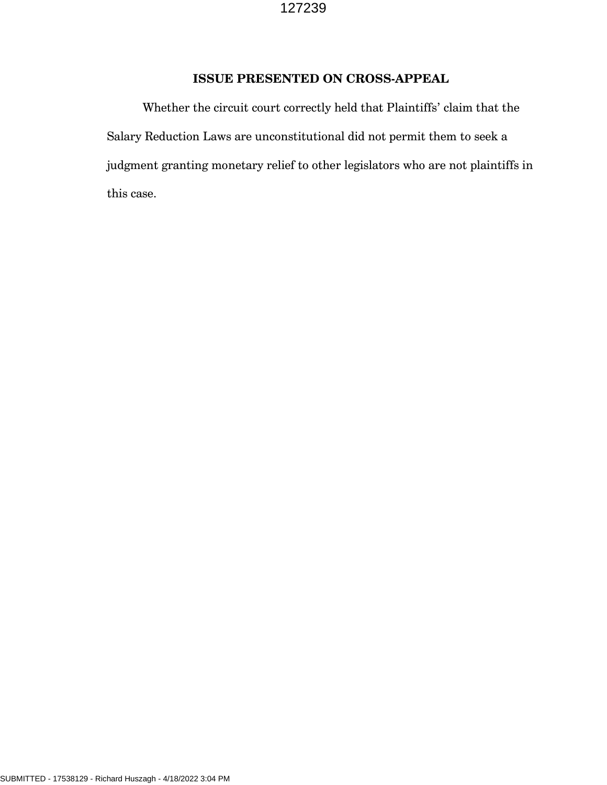## ISSUE PRESENTED ON CROSS-APPEAL

 Whether the circuit court correctly held that Plaintiffs' claim that the Salary Reduction Laws are unconstitutional did not permit them to seek a judgment granting monetary relief to other legislators who are not plaintiffs in this case.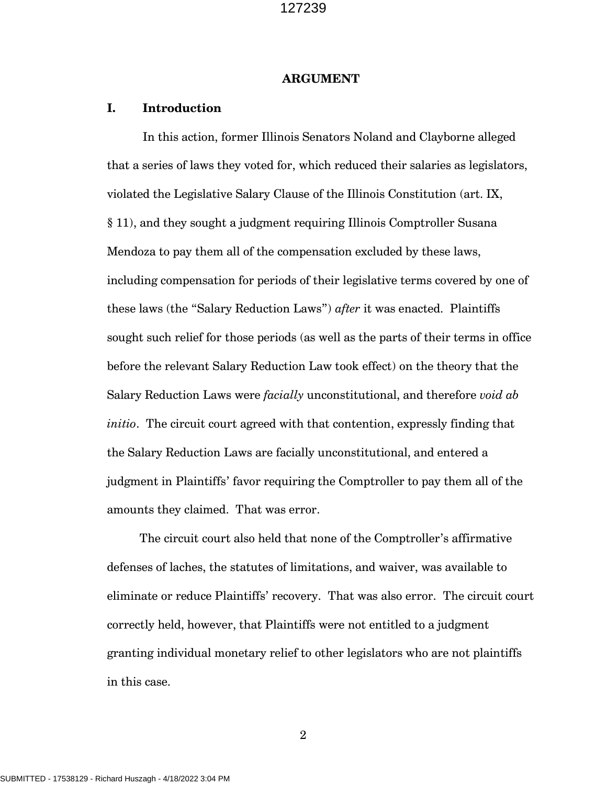#### ARGUMENT

#### I. Introduction

 In this action, former Illinois Senators Noland and Clayborne alleged that a series of laws they voted for, which reduced their salaries as legislators, violated the Legislative Salary Clause of the Illinois Constitution (art. IX, § 11), and they sought a judgment requiring Illinois Comptroller Susana Mendoza to pay them all of the compensation excluded by these laws, including compensation for periods of their legislative terms covered by one of these laws (the "Salary Reduction Laws") after it was enacted. Plaintiffs sought such relief for those periods (as well as the parts of their terms in office before the relevant Salary Reduction Law took effect) on the theory that the Salary Reduction Laws were *facially* unconstitutional, and therefore *void ab* initio. The circuit court agreed with that contention, expressly finding that the Salary Reduction Laws are facially unconstitutional, and entered a judgment in Plaintiffs' favor requiring the Comptroller to pay them all of the amounts they claimed. That was error.

 The circuit court also held that none of the Comptroller's affirmative defenses of laches, the statutes of limitations, and waiver, was available to eliminate or reduce Plaintiffs' recovery. That was also error. The circuit court correctly held, however, that Plaintiffs were not entitled to a judgment granting individual monetary relief to other legislators who are not plaintiffs in this case.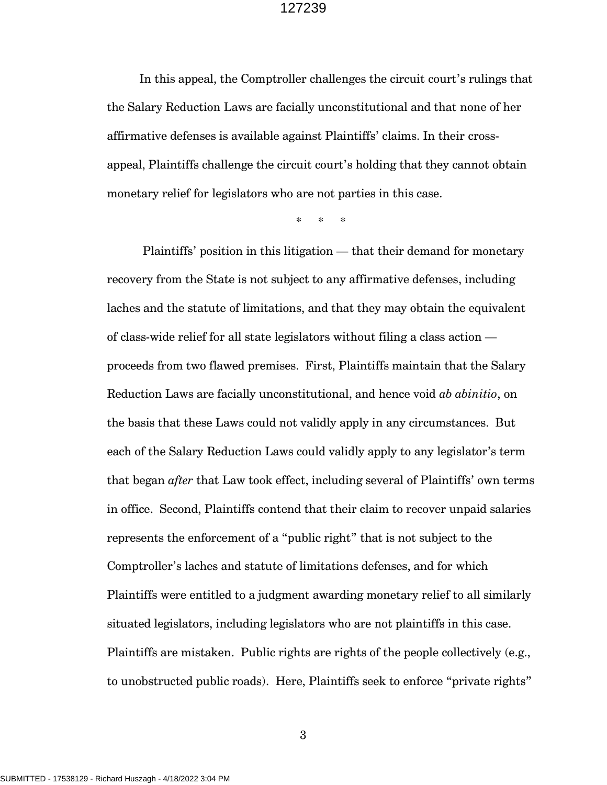In this appeal, the Comptroller challenges the circuit court's rulings that the Salary Reduction Laws are facially unconstitutional and that none of her affirmative defenses is available against Plaintiffs' claims. In their crossappeal, Plaintiffs challenge the circuit court's holding that they cannot obtain monetary relief for legislators who are not parties in this case.

\* \* \*

 Plaintiffs' position in this litigation — that their demand for monetary recovery from the State is not subject to any affirmative defenses, including laches and the statute of limitations, and that they may obtain the equivalent of class-wide relief for all state legislators without filing a class action proceeds from two flawed premises. First, Plaintiffs maintain that the Salary Reduction Laws are facially unconstitutional, and hence void ab abinitio, on the basis that these Laws could not validly apply in any circumstances. But each of the Salary Reduction Laws could validly apply to any legislator's term that began *after* that Law took effect, including several of Plaintiffs' own terms in office. Second, Plaintiffs contend that their claim to recover unpaid salaries represents the enforcement of a "public right" that is not subject to the Comptroller's laches and statute of limitations defenses, and for which Plaintiffs were entitled to a judgment awarding monetary relief to all similarly situated legislators, including legislators who are not plaintiffs in this case. Plaintiffs are mistaken. Public rights are rights of the people collectively (e.g., to unobstructed public roads). Here, Plaintiffs seek to enforce "private rights"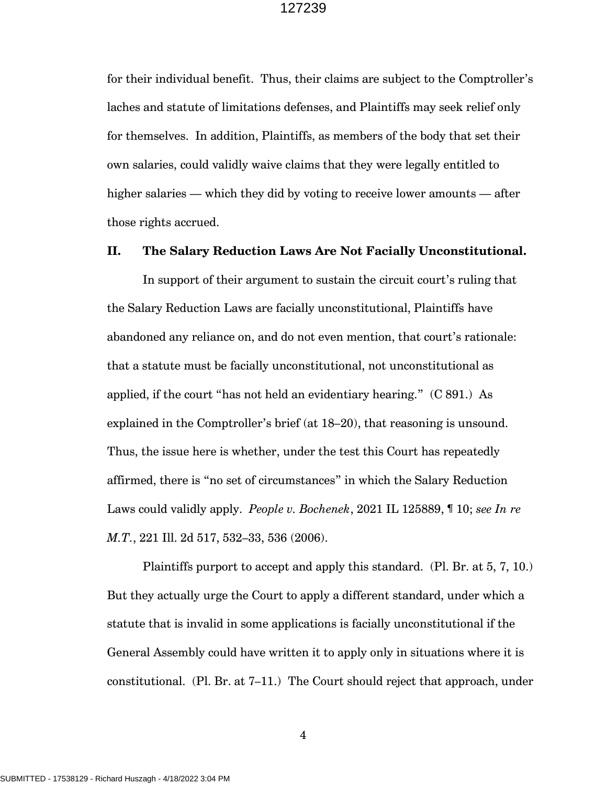for their individual benefit. Thus, their claims are subject to the Comptroller's laches and statute of limitations defenses, and Plaintiffs may seek relief only for themselves. In addition, Plaintiffs, as members of the body that set their own salaries, could validly waive claims that they were legally entitled to higher salaries — which they did by voting to receive lower amounts — after those rights accrued.

#### II. The Salary Reduction Laws Are Not Facially Unconstitutional.

 In support of their argument to sustain the circuit court's ruling that the Salary Reduction Laws are facially unconstitutional, Plaintiffs have abandoned any reliance on, and do not even mention, that court's rationale: that a statute must be facially unconstitutional, not unconstitutional as applied, if the court "has not held an evidentiary hearing." (C 891.) As explained in the Comptroller's brief (at 18–20), that reasoning is unsound. Thus, the issue here is whether, under the test this Court has repeatedly affirmed, there is "no set of circumstances" in which the Salary Reduction Laws could validly apply. People v. Bochenek, 2021 IL 125889, *[10]*; see In re M.T., 221 Ill. 2d 517, 532–33, 536 (2006).

 Plaintiffs purport to accept and apply this standard. (Pl. Br. at 5, 7, 10.) But they actually urge the Court to apply a different standard, under which a statute that is invalid in some applications is facially unconstitutional if the General Assembly could have written it to apply only in situations where it is constitutional. (Pl. Br. at 7–11.) The Court should reject that approach, under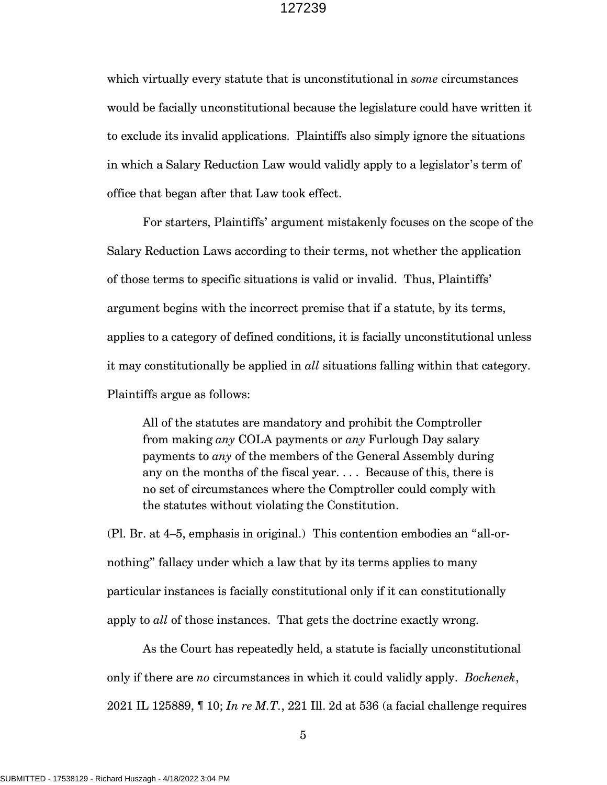which virtually every statute that is unconstitutional in some circumstances would be facially unconstitutional because the legislature could have written it to exclude its invalid applications. Plaintiffs also simply ignore the situations in which a Salary Reduction Law would validly apply to a legislator's term of office that began after that Law took effect.

 For starters, Plaintiffs' argument mistakenly focuses on the scope of the Salary Reduction Laws according to their terms, not whether the application of those terms to specific situations is valid or invalid. Thus, Plaintiffs' argument begins with the incorrect premise that if a statute, by its terms, applies to a category of defined conditions, it is facially unconstitutional unless it may constitutionally be applied in  $all$  situations falling within that category. Plaintiffs argue as follows:

All of the statutes are mandatory and prohibit the Comptroller from making any COLA payments or any Furlough Day salary payments to any of the members of the General Assembly during any on the months of the fiscal year. . . . Because of this, there is no set of circumstances where the Comptroller could comply with the statutes without violating the Constitution.

(Pl. Br. at 4–5, emphasis in original.) This contention embodies an "all-ornothing" fallacy under which a law that by its terms applies to many particular instances is facially constitutional only if it can constitutionally apply to all of those instances. That gets the doctrine exactly wrong.

 As the Court has repeatedly held, a statute is facially unconstitutional only if there are no circumstances in which it could validly apply. Bochenek, 2021 IL 125889,  $\P$  10; In re M.T., 221 Ill. 2d at 536 (a facial challenge requires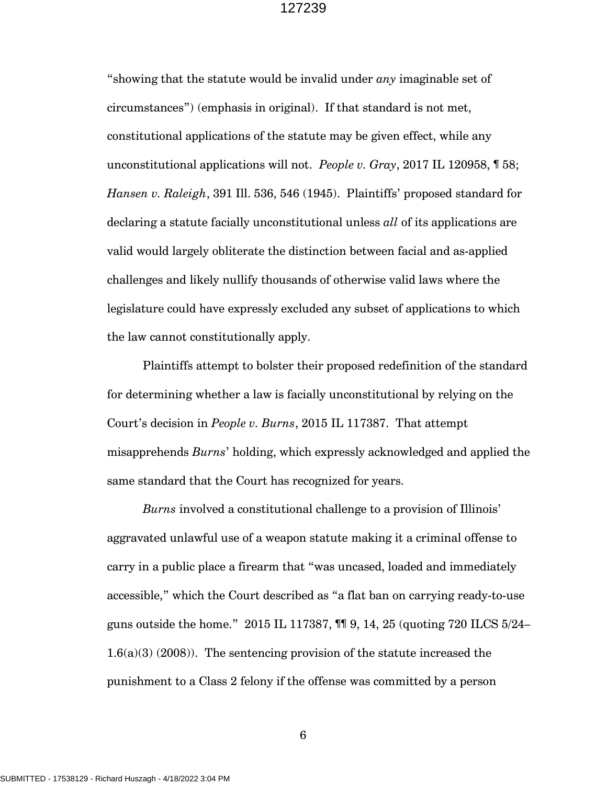"showing that the statute would be invalid under  $an\gamma$  imaginable set of circumstances") (emphasis in original). If that standard is not met, constitutional applications of the statute may be given effect, while any unconstitutional applications will not. People v. Gray, 2017 IL 120958,  $\text{\textsterling}58$ ; Hansen v. Raleigh, 391 Ill. 536, 546 (1945). Plaintiffs' proposed standard for declaring a statute facially unconstitutional unless all of its applications are valid would largely obliterate the distinction between facial and as-applied challenges and likely nullify thousands of otherwise valid laws where the legislature could have expressly excluded any subset of applications to which the law cannot constitutionally apply.

 Plaintiffs attempt to bolster their proposed redefinition of the standard for determining whether a law is facially unconstitutional by relying on the Court's decision in People v. Burns, 2015 IL 117387. That attempt misapprehends Burns' holding, which expressly acknowledged and applied the same standard that the Court has recognized for years.

 Burns involved a constitutional challenge to a provision of Illinois' aggravated unlawful use of a weapon statute making it a criminal offense to carry in a public place a firearm that "was uncased, loaded and immediately accessible," which the Court described as "a flat ban on carrying ready-to-use guns outside the home." 2015 IL 117387, ¶¶ 9, 14, 25 (quoting 720 ILCS 5/24–  $1.6(a)(3)(2008)$ . The sentencing provision of the statute increased the punishment to a Class 2 felony if the offense was committed by a person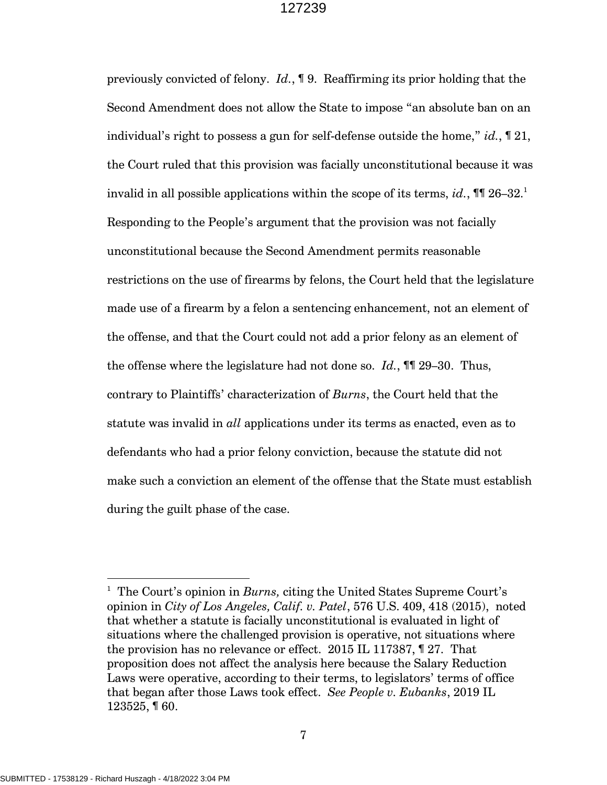previously convicted of felony. Id., ¶ 9. Reaffirming its prior holding that the Second Amendment does not allow the State to impose "an absolute ban on an individual's right to possess a gun for self-defense outside the home," id.,  $\lceil 21, \rceil$ the Court ruled that this provision was facially unconstitutional because it was invalid in all possible applications within the scope of its terms,  $id.$ ,  $\P\P$  26–32.<sup>1</sup> Responding to the People's argument that the provision was not facially unconstitutional because the Second Amendment permits reasonable restrictions on the use of firearms by felons, the Court held that the legislature made use of a firearm by a felon a sentencing enhancement, not an element of the offense, and that the Court could not add a prior felony as an element of the offense where the legislature had not done so.  $Id$ .,  $\P$  194  $-$ 30. Thus, contrary to Plaintiffs' characterization of Burns, the Court held that the statute was invalid in *all* applications under its terms as enacted, even as to defendants who had a prior felony conviction, because the statute did not make such a conviction an element of the offense that the State must establish during the guilt phase of the case.

 $\overline{a}$ 

<sup>&</sup>lt;sup>1</sup> The Court's opinion in *Burns*, citing the United States Supreme Court's opinion in City of Los Angeles, Calif. v. Patel, 576 U.S. 409, 418 (2015), noted that whether a statute is facially unconstitutional is evaluated in light of situations where the challenged provision is operative, not situations where the provision has no relevance or effect. 2015 IL 117387, ¶ 27. That proposition does not affect the analysis here because the Salary Reduction Laws were operative, according to their terms, to legislators' terms of office that began after those Laws took effect. See People v. Eubanks, 2019 IL 123525, ¶ 60.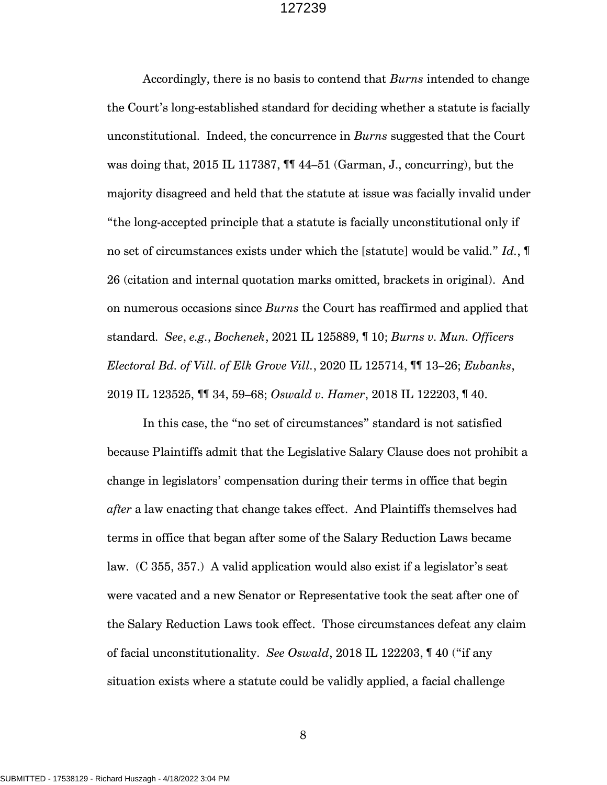Accordingly, there is no basis to contend that Burns intended to change the Court's long-established standard for deciding whether a statute is facially unconstitutional. Indeed, the concurrence in Burns suggested that the Court was doing that, 2015 IL 117387, ¶¶ 44–51 (Garman, J., concurring), but the majority disagreed and held that the statute at issue was facially invalid under "the long-accepted principle that a statute is facially unconstitutional only if no set of circumstances exists under which the [statute] would be valid."  $Id$ . 26 (citation and internal quotation marks omitted, brackets in original). And on numerous occasions since *Burns* the Court has reaffirmed and applied that standard. See, e.g., Bochenek, 2021 IL 125889, ¶ 10; Burns v. Mun. Officers Electoral Bd. of Vill. of Elk Grove Vill., 2020 IL 125714, ¶¶ 13–26; Eubanks, 2019 IL 123525, ¶¶ 34, 59–68; Oswald v. Hamer, 2018 IL 122203, ¶ 40.

 In this case, the "no set of circumstances" standard is not satisfied because Plaintiffs admit that the Legislative Salary Clause does not prohibit a change in legislators' compensation during their terms in office that begin after a law enacting that change takes effect. And Plaintiffs themselves had terms in office that began after some of the Salary Reduction Laws became law. (C 355, 357.) A valid application would also exist if a legislator's seat were vacated and a new Senator or Representative took the seat after one of the Salary Reduction Laws took effect. Those circumstances defeat any claim of facial unconstitutionality. See Oswald, 2018 IL 122203, ¶ 40 ("if any situation exists where a statute could be validly applied, a facial challenge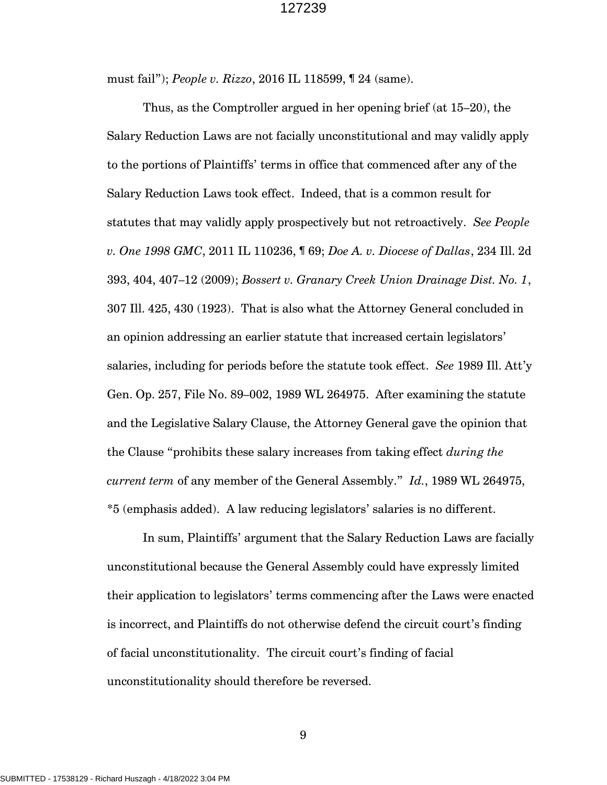must fail"); *People v. Rizzo*, 2016 IL 118599, ¶ 24 (same).

 Thus, as the Comptroller argued in her opening brief (at 15–20), the Salary Reduction Laws are not facially unconstitutional and may validly apply to the portions of Plaintiffs' terms in office that commenced after any of the Salary Reduction Laws took effect. Indeed, that is a common result for statutes that may validly apply prospectively but not retroactively. See People v. One 1998 GMC, 2011 IL 110236, ¶ 69; Doe A. v. Diocese of Dallas, 234 Ill. 2d 393, 404, 407–12 (2009); Bossert v. Granary Creek Union Drainage Dist. No. 1, 307 Ill. 425, 430 (1923). That is also what the Attorney General concluded in an opinion addressing an earlier statute that increased certain legislators' salaries, including for periods before the statute took effect. See 1989 Ill.  $Att'y$ Gen. Op. 257, File No. 89–002, 1989 WL 264975. After examining the statute and the Legislative Salary Clause, the Attorney General gave the opinion that the Clause "prohibits these salary increases from taking effect *during the current term* of any member of the General Assembly."  $Id.$ , 1989 WL 264975, \*5 (emphasis added). A law reducing legislators' salaries is no different.

 In sum, Plaintiffs' argument that the Salary Reduction Laws are facially unconstitutional because the General Assembly could have expressly limited their application to legislators' terms commencing after the Laws were enacted is incorrect, and Plaintiffs do not otherwise defend the circuit court's finding of facial unconstitutionality. The circuit court's finding of facial unconstitutionality should therefore be reversed.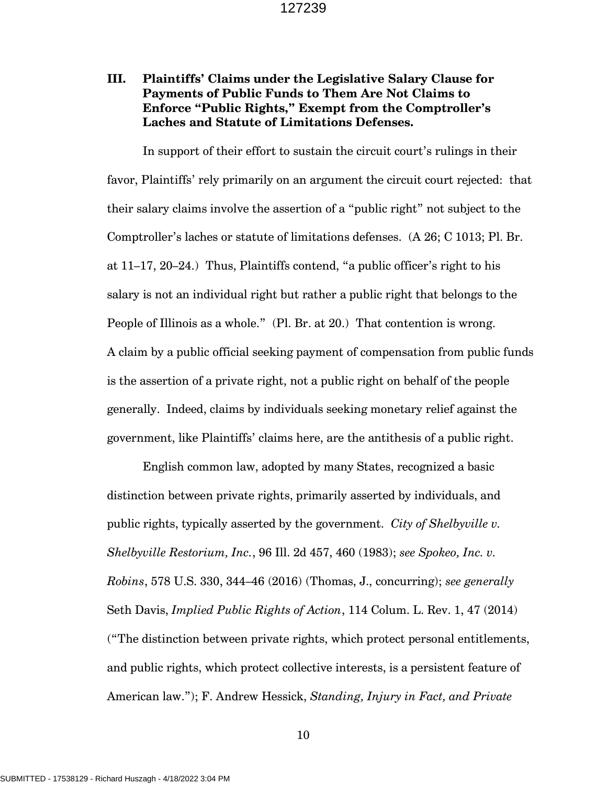### III. Plaintiffs' Claims under the Legislative Salary Clause for Payments of Public Funds to Them Are Not Claims to Enforce "Public Rights," Exempt from the Comptroller's Laches and Statute of Limitations Defenses.

 In support of their effort to sustain the circuit court's rulings in their favor, Plaintiffs' rely primarily on an argument the circuit court rejected: that their salary claims involve the assertion of a "public right" not subject to the Comptroller's laches or statute of limitations defenses. (A 26; C 1013; Pl. Br. at 11–17, 20–24.) Thus, Plaintiffs contend, "a public officer's right to his salary is not an individual right but rather a public right that belongs to the People of Illinois as a whole." (Pl. Br. at 20.) That contention is wrong. A claim by a public official seeking payment of compensation from public funds is the assertion of a private right, not a public right on behalf of the people generally. Indeed, claims by individuals seeking monetary relief against the government, like Plaintiffs' claims here, are the antithesis of a public right.

 English common law, adopted by many States, recognized a basic distinction between private rights, primarily asserted by individuals, and public rights, typically asserted by the government. City of Shelbyville v. Shelbyville Restorium, Inc., 96 Ill. 2d 457, 460 (1983); see Spokeo, Inc. v. Robins, 578 U.S. 330, 344–46 (2016) (Thomas, J., concurring); see generally Seth Davis, *Implied Public Rights of Action*, 114 Colum. L. Rev. 1, 47 (2014) ("The distinction between private rights, which protect personal entitlements, and public rights, which protect collective interests, is a persistent feature of American law."); F. Andrew Hessick, Standing, Injury in Fact, and Private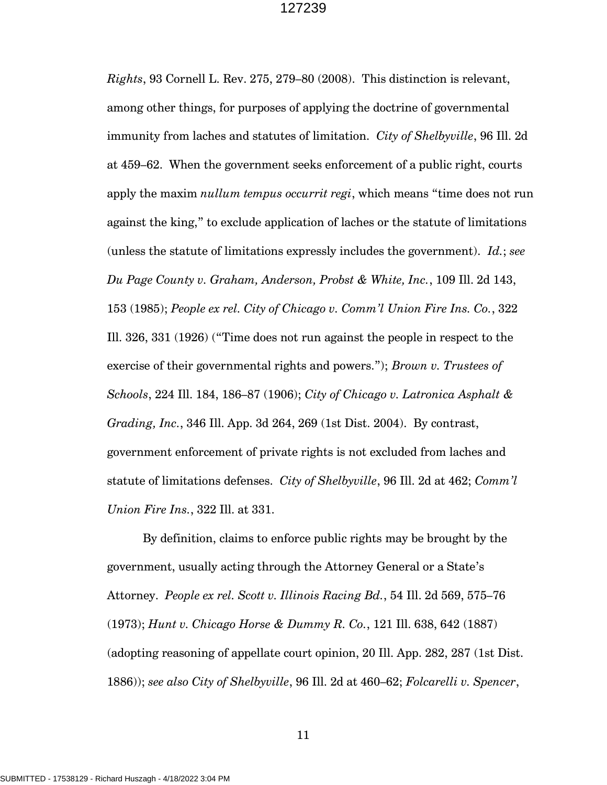Rights, 93 Cornell L. Rev. 275, 279–80 (2008). This distinction is relevant, among other things, for purposes of applying the doctrine of governmental immunity from laches and statutes of limitation. City of Shelbyville, 96 Ill. 2d at 459–62. When the government seeks enforcement of a public right, courts apply the maxim *nullum tempus occurrit regi*, which means "time does not run against the king," to exclude application of laches or the statute of limitations (unless the statute of limitations expressly includes the government).  $Id$ ; see Du Page County v. Graham, Anderson, Probst & White, Inc., 109 Ill. 2d 143, 153 (1985); People ex rel. City of Chicago v. Comm'l Union Fire Ins. Co., 322 Ill. 326, 331 (1926) ("Time does not run against the people in respect to the exercise of their governmental rights and powers."); Brown v. Trustees of Schools, 224 Ill. 184, 186–87 (1906); City of Chicago v. Latronica Asphalt  $\&$ Grading, Inc., 346 Ill. App. 3d 264, 269 (1st Dist. 2004). By contrast, government enforcement of private rights is not excluded from laches and statute of limitations defenses. City of Shelbyville, 96 Ill. 2d at 462; Comm'l Union Fire Ins., 322 Ill. at 331.

 By definition, claims to enforce public rights may be brought by the government, usually acting through the Attorney General or a State's Attorney. People ex rel. Scott v. Illinois Racing Bd., 54 Ill. 2d 569, 575–76 (1973); Hunt v. Chicago Horse & Dummy R. Co., 121 Ill. 638, 642 (1887) (adopting reasoning of appellate court opinion, 20 Ill. App. 282, 287 (1st Dist. 1886)); see also City of Shelbyville, 96 Ill. 2d at 460–62; Folcarelli v. Spencer,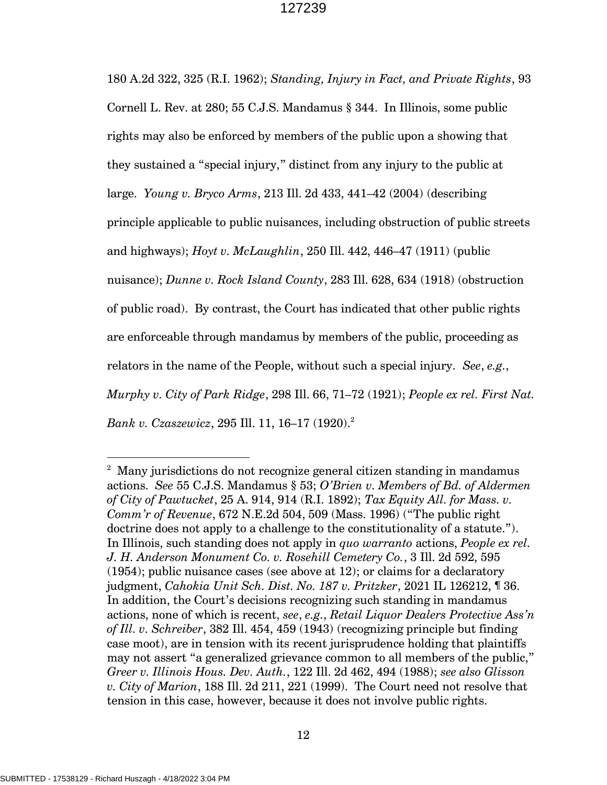180 A.2d 322, 325 (R.I. 1962); Standing, Injury in Fact, and Private Rights, 93 Cornell L. Rev. at 280; 55 C.J.S. Mandamus § 344. In Illinois, some public rights may also be enforced by members of the public upon a showing that they sustained a "special injury," distinct from any injury to the public at large. Young v. Bryco Arms, 213 Ill. 2d 433, 441–42 (2004) (describing principle applicable to public nuisances, including obstruction of public streets and highways);  $Hovt v. McLaughlin, 250$  Ill. 442, 446–47 (1911) (public nuisance); Dunne v. Rock Island County, 283 Ill. 628, 634 (1918) (obstruction of public road). By contrast, the Court has indicated that other public rights are enforceable through mandamus by members of the public, proceeding as relators in the name of the People, without such a special injury. See,  $e.g.,$ Murphy v. City of Park Ridge, 298 Ill. 66, 71–72 (1921); People ex rel. First Nat. Bank v. Czaszewicz, 295 Ill. 11, 16–17 (1920).<sup>2</sup>

 $\overline{a}$ 

 $2$  Many jurisdictions do not recognize general citizen standing in mandamus actions. See 55 C.J.S. Mandamus § 53; O'Brien v. Members of Bd. of Aldermen of City of Pawtucket, 25 A. 914, 914 (R.I. 1892); Tax Equity All. for Mass. v. Comm'r of Revenue, 672 N.E.2d 504, 509 (Mass. 1996) ("The public right doctrine does not apply to a challenge to the constitutionality of a statute."). In Illinois, such standing does not apply in quo warranto actions, People ex rel. J. H. Anderson Monument Co. v. Rosehill Cemetery Co., 3 Ill. 2d 592, 595 (1954); public nuisance cases (see above at 12); or claims for a declaratory judgment, Cahokia Unit Sch. Dist. No. 187 v. Pritzker, 2021 IL 126212, ¶ 36. In addition, the Court's decisions recognizing such standing in mandamus actions, none of which is recent, see, e.g., Retail Liquor Dealers Protective Ass'n of Ill. v. Schreiber, 382 Ill. 454, 459 (1943) (recognizing principle but finding case moot), are in tension with its recent jurisprudence holding that plaintiffs may not assert "a generalized grievance common to all members of the public," Greer v. Illinois Hous. Dev. Auth., 122 Ill. 2d 462, 494 (1988); see also Glisson v. City of Marion, 188 Ill. 2d 211, 221 (1999). The Court need not resolve that tension in this case, however, because it does not involve public rights.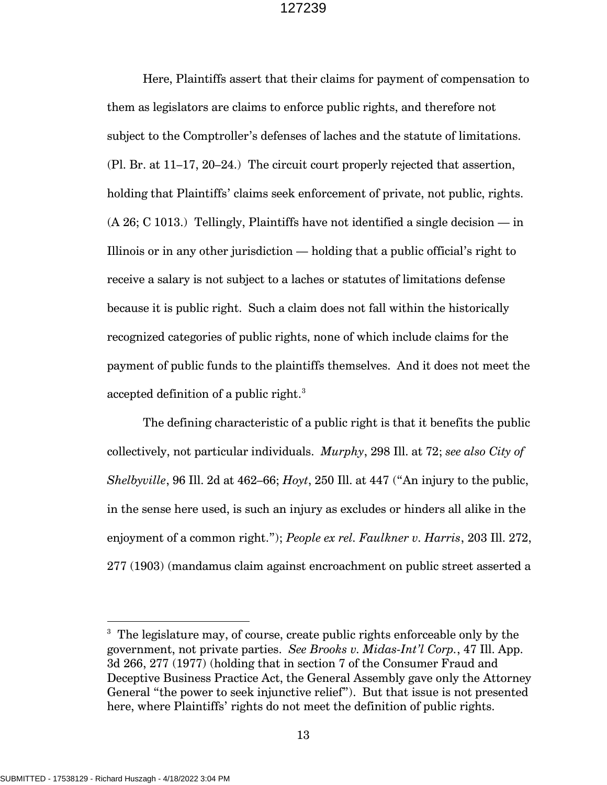Here, Plaintiffs assert that their claims for payment of compensation to them as legislators are claims to enforce public rights, and therefore not subject to the Comptroller's defenses of laches and the statute of limitations. (Pl. Br. at 11–17, 20–24.) The circuit court properly rejected that assertion, holding that Plaintiffs' claims seek enforcement of private, not public, rights.  $(A 26; C 1013.)$  Tellingly, Plaintiffs have not identified a single decision  $-$  in Illinois or in any other jurisdiction — holding that a public official's right to receive a salary is not subject to a laches or statutes of limitations defense because it is public right. Such a claim does not fall within the historically recognized categories of public rights, none of which include claims for the payment of public funds to the plaintiffs themselves. And it does not meet the accepted definition of a public right.<sup>3</sup>

 The defining characteristic of a public right is that it benefits the public collectively, not particular individuals. Murphy, 298 Ill. at 72; see also City of Shelbyville, 96 Ill. 2d at 462–66; Hoyt, 250 Ill. at 447 ("An injury to the public, in the sense here used, is such an injury as excludes or hinders all alike in the enjoyment of a common right."); People ex rel. Faulkner v. Harris, 203 Ill. 272, 277 (1903) (mandamus claim against encroachment on public street asserted a

-

<sup>&</sup>lt;sup>3</sup> The legislature may, of course, create public rights enforceable only by the government, not private parties. See Brooks v. Midas-Int'l Corp., 47 Ill. App. 3d 266, 277 (1977) (holding that in section 7 of the Consumer Fraud and Deceptive Business Practice Act, the General Assembly gave only the Attorney General "the power to seek injunctive relief"). But that issue is not presented here, where Plaintiffs' rights do not meet the definition of public rights.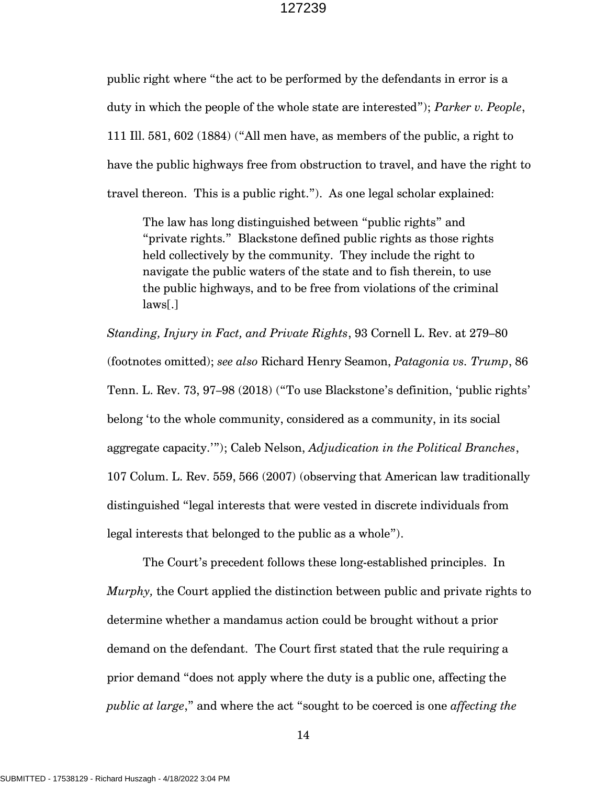public right where "the act to be performed by the defendants in error is a duty in which the people of the whole state are interested"); Parker v. People, 111 Ill. 581, 602 (1884) ("All men have, as members of the public, a right to have the public highways free from obstruction to travel, and have the right to travel thereon. This is a public right."). As one legal scholar explained:

The law has long distinguished between "public rights" and "private rights." Blackstone defined public rights as those rights held collectively by the community. They include the right to navigate the public waters of the state and to fish therein, to use the public highways, and to be free from violations of the criminal laws[.]

Standing, Injury in Fact, and Private Rights, 93 Cornell L. Rev. at 279–80 (footnotes omitted); see also Richard Henry Seamon, Patagonia vs. Trump, 86 Tenn. L. Rev. 73, 97–98 (2018) ("To use Blackstone's definition, 'public rights' belong 'to the whole community, considered as a community, in its social aggregate capacity.""); Caleb Nelson, Adjudication in the Political Branches, 107 Colum. L. Rev. 559, 566 (2007) (observing that American law traditionally distinguished "legal interests that were vested in discrete individuals from legal interests that belonged to the public as a whole").

The Court's precedent follows these long-established principles. In Murphy, the Court applied the distinction between public and private rights to determine whether a mandamus action could be brought without a prior demand on the defendant. The Court first stated that the rule requiring a prior demand "does not apply where the duty is a public one, affecting the public at large," and where the act "sought to be coerced is one affecting the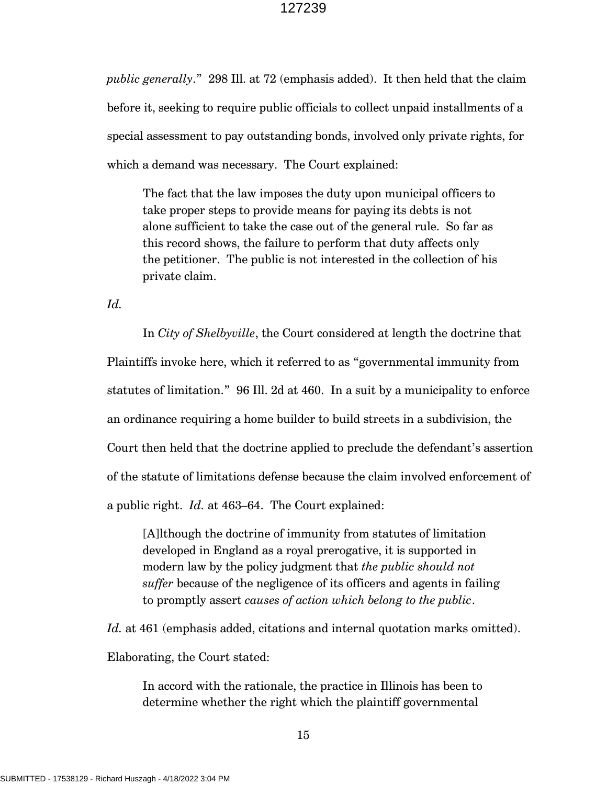public generally." 298 Ill. at 72 (emphasis added). It then held that the claim before it, seeking to require public officials to collect unpaid installments of a special assessment to pay outstanding bonds, involved only private rights, for which a demand was necessary. The Court explained:

The fact that the law imposes the duty upon municipal officers to take proper steps to provide means for paying its debts is not alone sufficient to take the case out of the general rule. So far as this record shows, the failure to perform that duty affects only the petitioner. The public is not interested in the collection of his private claim.

Id.

 In City of Shelbyville, the Court considered at length the doctrine that Plaintiffs invoke here, which it referred to as "governmental immunity from statutes of limitation." 96 Ill. 2d at 460. In a suit by a municipality to enforce an ordinance requiring a home builder to build streets in a subdivision, the Court then held that the doctrine applied to preclude the defendant's assertion of the statute of limitations defense because the claim involved enforcement of a public right. Id. at 463–64. The Court explained:

[A]lthough the doctrine of immunity from statutes of limitation developed in England as a royal prerogative, it is supported in modern law by the policy judgment that the public should not suffer because of the negligence of its officers and agents in failing to promptly assert causes of action which belong to the public.

Id. at 461 (emphasis added, citations and internal quotation marks omitted). Elaborating, the Court stated:

In accord with the rationale, the practice in Illinois has been to determine whether the right which the plaintiff governmental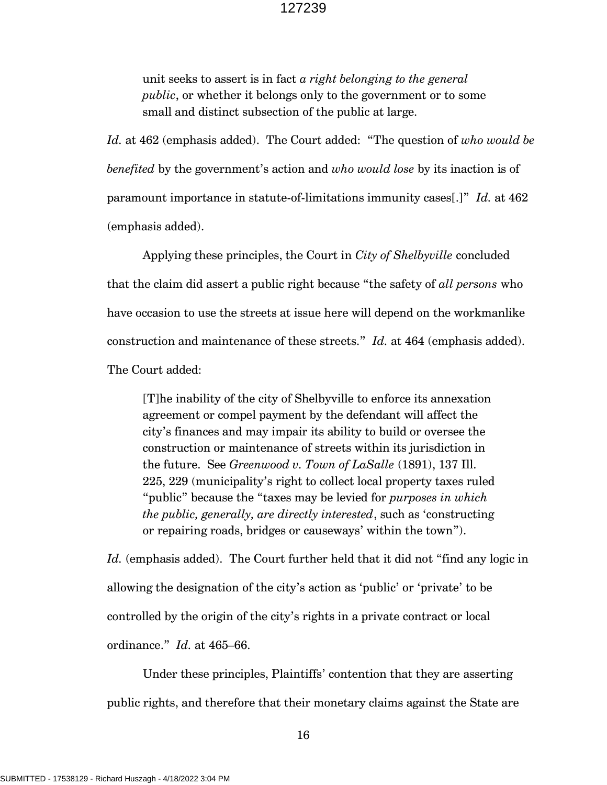unit seeks to assert is in fact a right belonging to the general public, or whether it belongs only to the government or to some small and distinct subsection of the public at large.

Id. at 462 (emphasis added). The Court added: "The question of who would be benefited by the government's action and who would lose by its inaction is of paramount importance in statute-of-limitations immunity cases[.]" Id. at 462 (emphasis added).

Applying these principles, the Court in City of Shelbyville concluded that the claim did assert a public right because "the safety of all persons who have occasion to use the streets at issue here will depend on the workmanlike construction and maintenance of these streets." Id. at 464 (emphasis added).

The Court added:

[T]he inability of the city of Shelbyville to enforce its annexation agreement or compel payment by the defendant will affect the city's finances and may impair its ability to build or oversee the construction or maintenance of streets within its jurisdiction in the future. See Greenwood v. Town of LaSalle (1891), 137 Ill. 225, 229 (municipality's right to collect local property taxes ruled "public" because the "taxes may be levied for *purposes in which* the public, generally, are directly interested, such as 'constructing or repairing roads, bridges or causeways' within the town").

Id. (emphasis added). The Court further held that it did not "find any logic in allowing the designation of the city's action as 'public' or 'private' to be controlled by the origin of the city's rights in a private contract or local ordinance."  $Id$  at 465–66.

 Under these principles, Plaintiffs' contention that they are asserting public rights, and therefore that their monetary claims against the State are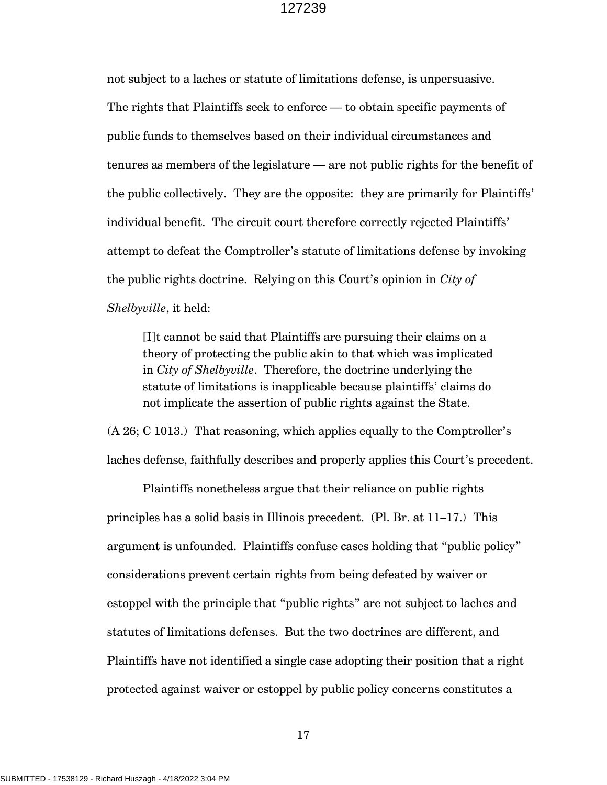not subject to a laches or statute of limitations defense, is unpersuasive. The rights that Plaintiffs seek to enforce — to obtain specific payments of public funds to themselves based on their individual circumstances and tenures as members of the legislature — are not public rights for the benefit of the public collectively. They are the opposite: they are primarily for Plaintiffs' individual benefit. The circuit court therefore correctly rejected Plaintiffs' attempt to defeat the Comptroller's statute of limitations defense by invoking the public rights doctrine. Relying on this Court's opinion in City of Shelbyville, it held:

[I]t cannot be said that Plaintiffs are pursuing their claims on a theory of protecting the public akin to that which was implicated in City of Shelbyville. Therefore, the doctrine underlying the statute of limitations is inapplicable because plaintiffs' claims do not implicate the assertion of public rights against the State.

(A 26; C 1013.) That reasoning, which applies equally to the Comptroller's laches defense, faithfully describes and properly applies this Court's precedent.

 Plaintiffs nonetheless argue that their reliance on public rights principles has a solid basis in Illinois precedent. (Pl. Br. at 11–17.) This argument is unfounded. Plaintiffs confuse cases holding that "public policy" considerations prevent certain rights from being defeated by waiver or estoppel with the principle that "public rights" are not subject to laches and statutes of limitations defenses. But the two doctrines are different, and Plaintiffs have not identified a single case adopting their position that a right protected against waiver or estoppel by public policy concerns constitutes a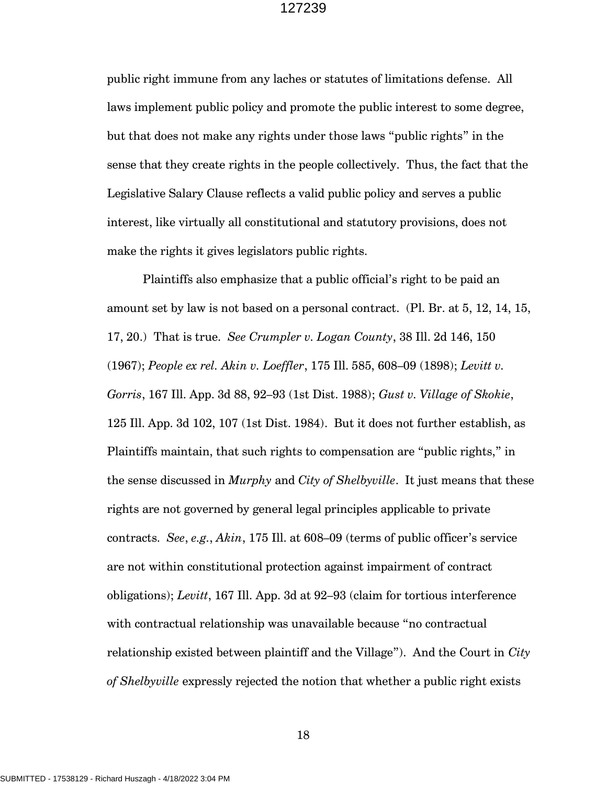public right immune from any laches or statutes of limitations defense. All laws implement public policy and promote the public interest to some degree, but that does not make any rights under those laws "public rights" in the sense that they create rights in the people collectively. Thus, the fact that the Legislative Salary Clause reflects a valid public policy and serves a public interest, like virtually all constitutional and statutory provisions, does not make the rights it gives legislators public rights.

 Plaintiffs also emphasize that a public official's right to be paid an amount set by law is not based on a personal contract. (Pl. Br. at 5, 12, 14, 15, 17, 20.) That is true. See Crumpler v. Logan County, 38 Ill. 2d 146, 150 (1967); People ex rel. Akin v. Loeffler, 175 Ill. 585, 608–09 (1898); Levitt v. Gorris, 167 Ill. App. 3d 88, 92–93 (1st Dist. 1988); Gust v. Village of Skokie, 125 Ill. App. 3d 102, 107 (1st Dist. 1984). But it does not further establish, as Plaintiffs maintain, that such rights to compensation are "public rights," in the sense discussed in *Murphy* and *City of Shelbyville*. It just means that these rights are not governed by general legal principles applicable to private contracts. See, e.g., Akin, 175 Ill. at 608–09 (terms of public officer's service are not within constitutional protection against impairment of contract obligations); Levitt, 167 Ill. App. 3d at 92–93 (claim for tortious interference with contractual relationship was unavailable because "no contractual relationship existed between plaintiff and the Village"). And the Court in  $City$ of Shelbyville expressly rejected the notion that whether a public right exists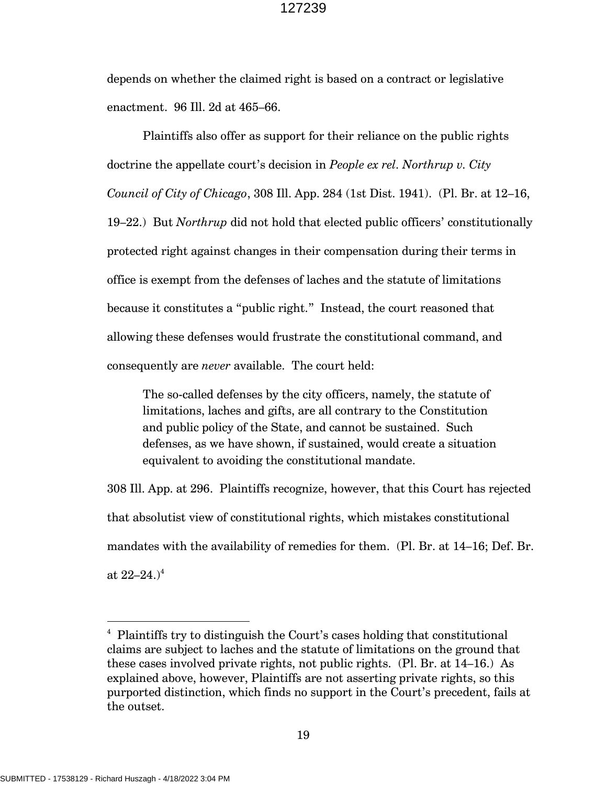depends on whether the claimed right is based on a contract or legislative enactment. 96 Ill. 2d at 465–66.

 Plaintiffs also offer as support for their reliance on the public rights doctrine the appellate court's decision in *People ex rel. Northrup v. City* Council of City of Chicago, 308 Ill. App. 284 (1st Dist. 1941). (Pl. Br. at 12–16, 19–22.) But Northrup did not hold that elected public officers' constitutionally protected right against changes in their compensation during their terms in office is exempt from the defenses of laches and the statute of limitations because it constitutes a "public right." Instead, the court reasoned that allowing these defenses would frustrate the constitutional command, and consequently are never available. The court held:

The so-called defenses by the city officers, namely, the statute of limitations, laches and gifts, are all contrary to the Constitution and public policy of the State, and cannot be sustained. Such defenses, as we have shown, if sustained, would create a situation equivalent to avoiding the constitutional mandate.

308 Ill. App. at 296. Plaintiffs recognize, however, that this Court has rejected that absolutist view of constitutional rights, which mistakes constitutional mandates with the availability of remedies for them. (Pl. Br. at 14–16; Def. Br. at  $22-24.$ <sup>4</sup>

-

<sup>4</sup> Plaintiffs try to distinguish the Court's cases holding that constitutional claims are subject to laches and the statute of limitations on the ground that these cases involved private rights, not public rights. (Pl. Br. at 14–16.) As explained above, however, Plaintiffs are not asserting private rights, so this purported distinction, which finds no support in the Court's precedent, fails at the outset.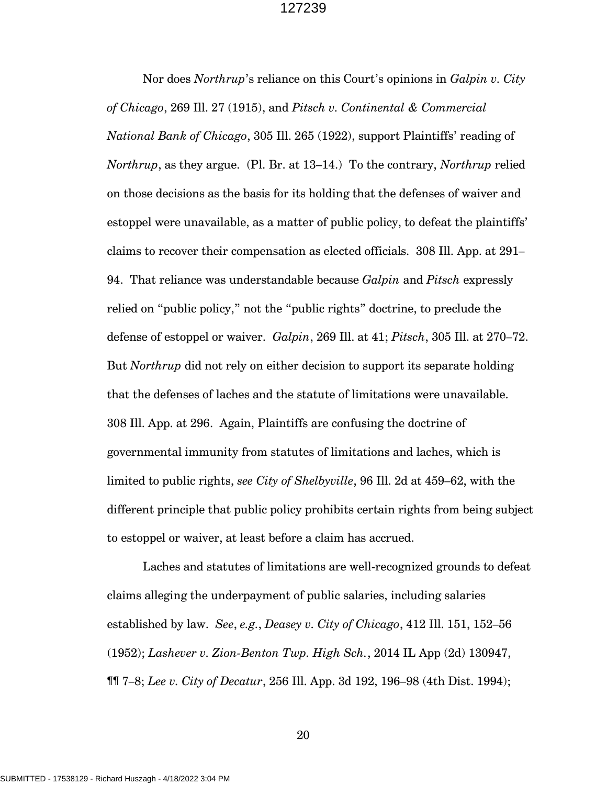Nor does Northrup's reliance on this Court's opinions in Galpin v. City of Chicago, 269 Ill. 27 (1915), and Pitsch v. Continental  $\&$  Commercial National Bank of Chicago, 305 Ill. 265 (1922), support Plaintiffs' reading of Northrup, as they argue. (Pl. Br. at 13–14.) To the contrary, Northrup relied on those decisions as the basis for its holding that the defenses of waiver and estoppel were unavailable, as a matter of public policy, to defeat the plaintiffs' claims to recover their compensation as elected officials. 308 Ill. App. at 291– 94. That reliance was understandable because Galpin and Pitsch expressly relied on "public policy," not the "public rights" doctrine, to preclude the defense of estoppel or waiver. Galpin, 269 Ill. at 41; Pitsch, 305 Ill. at 270–72. But *Northrup* did not rely on either decision to support its separate holding that the defenses of laches and the statute of limitations were unavailable. 308 Ill. App. at 296. Again, Plaintiffs are confusing the doctrine of governmental immunity from statutes of limitations and laches, which is limited to public rights, see City of Shelbyville, 96 Ill. 2d at 459–62, with the different principle that public policy prohibits certain rights from being subject to estoppel or waiver, at least before a claim has accrued.

 Laches and statutes of limitations are well-recognized grounds to defeat claims alleging the underpayment of public salaries, including salaries established by law. See, e.g., Deasey v. City of Chicago, 412 Ill. 151, 152–56 (1952); Lashever v. Zion-Benton Twp. High Sch., 2014 IL App (2d) 130947, ¶¶ 7–8; Lee v. City of Decatur, 256 Ill. App. 3d 192, 196–98 (4th Dist. 1994);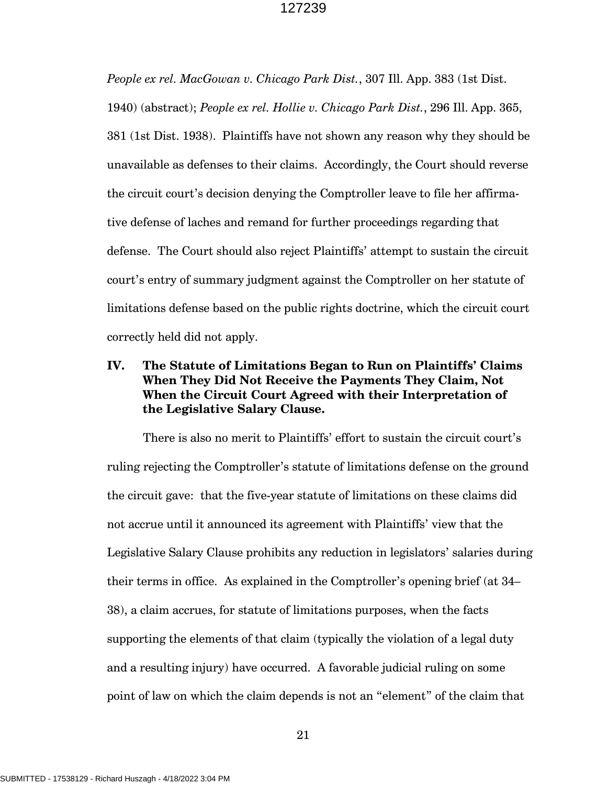People ex rel. MacGowan v. Chicago Park Dist., 307 Ill. App. 383 (1st Dist. 1940) (abstract); People ex rel. Hollie v. Chicago Park Dist., 296 Ill. App. 365, 381 (1st Dist. 1938). Plaintiffs have not shown any reason why they should be unavailable as defenses to their claims. Accordingly, the Court should reverse the circuit court's decision denying the Comptroller leave to file her affirmative defense of laches and remand for further proceedings regarding that defense. The Court should also reject Plaintiffs' attempt to sustain the circuit court's entry of summary judgment against the Comptroller on her statute of limitations defense based on the public rights doctrine, which the circuit court correctly held did not apply.

## IV. The Statute of Limitations Began to Run on Plaintiffs' Claims When They Did Not Receive the Payments They Claim, Not When the Circuit Court Agreed with their Interpretation of the Legislative Salary Clause.

 There is also no merit to Plaintiffs' effort to sustain the circuit court's ruling rejecting the Comptroller's statute of limitations defense on the ground the circuit gave: that the five-year statute of limitations on these claims did not accrue until it announced its agreement with Plaintiffs' view that the Legislative Salary Clause prohibits any reduction in legislators' salaries during their terms in office. As explained in the Comptroller's opening brief (at 34– 38), a claim accrues, for statute of limitations purposes, when the facts supporting the elements of that claim (typically the violation of a legal duty and a resulting injury) have occurred. A favorable judicial ruling on some point of law on which the claim depends is not an "element" of the claim that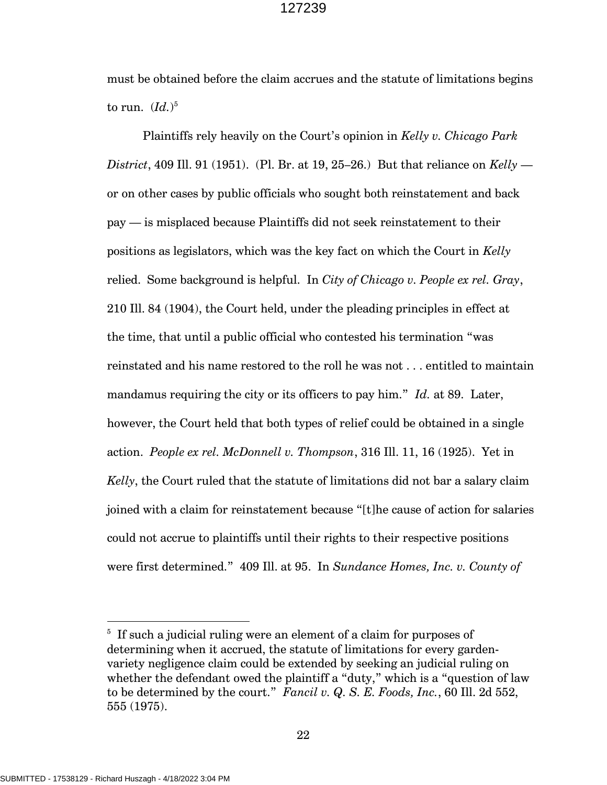must be obtained before the claim accrues and the statute of limitations begins to run.  $(Id.)^5$ 

 Plaintiffs rely heavily on the Court's opinion in Kelly v. Chicago Park District, 409 Ill. 91 (1951). (Pl. Br. at 19, 25–26.) But that reliance on Kelly or on other cases by public officials who sought both reinstatement and back pay — is misplaced because Plaintiffs did not seek reinstatement to their positions as legislators, which was the key fact on which the Court in  $Kelly$ relied. Some background is helpful. In City of Chicago v. People ex rel. Gray, 210 Ill. 84 (1904), the Court held, under the pleading principles in effect at the time, that until a public official who contested his termination "was reinstated and his name restored to the roll he was not . . . entitled to maintain mandamus requiring the city or its officers to pay him." Id. at 89. Later, however, the Court held that both types of relief could be obtained in a single action. People ex rel. McDonnell v. Thompson, 316 Ill. 11, 16 (1925). Yet in  $Kelly$ , the Court ruled that the statute of limitations did not bar a salary claim joined with a claim for reinstatement because "[t]he cause of action for salaries could not accrue to plaintiffs until their rights to their respective positions were first determined." 409 Ill. at 95. In Sundance Homes, Inc. v. County of

 $\overline{a}$ 

 $5$  If such a judicial ruling were an element of a claim for purposes of determining when it accrued, the statute of limitations for every gardenvariety negligence claim could be extended by seeking an judicial ruling on whether the defendant owed the plaintiff a "duty," which is a "question of law to be determined by the court." Fancil v. Q. S. E. Foods, Inc., 60 Ill. 2d 552, 555 (1975).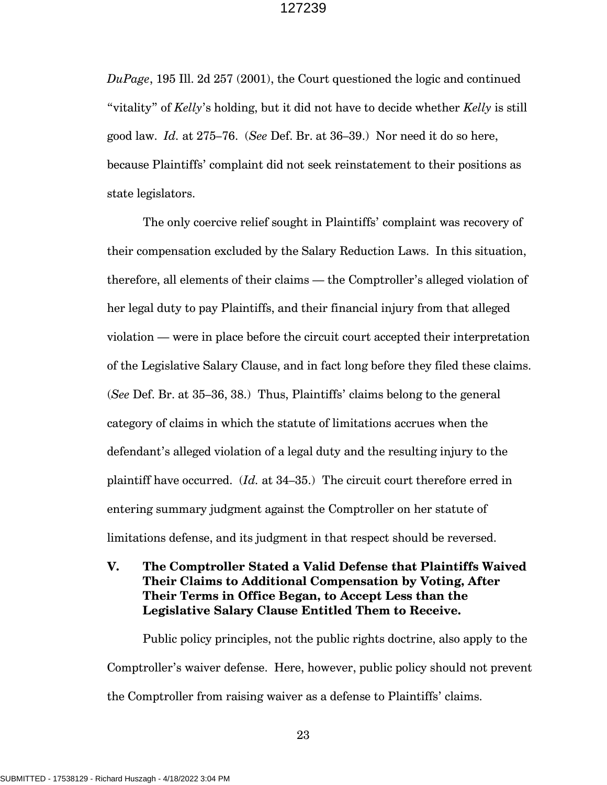$DuPage$ , 195 Ill. 2d 257 (2001), the Court questioned the logic and continued "vitality" of  $Kelly$ 's holding, but it did not have to decide whether  $Kelly$  is still good law. Id. at 275–76. (See Def. Br. at 36–39.) Nor need it do so here, because Plaintiffs' complaint did not seek reinstatement to their positions as state legislators.

 The only coercive relief sought in Plaintiffs' complaint was recovery of their compensation excluded by the Salary Reduction Laws. In this situation, therefore, all elements of their claims — the Comptroller's alleged violation of her legal duty to pay Plaintiffs, and their financial injury from that alleged violation — were in place before the circuit court accepted their interpretation of the Legislative Salary Clause, and in fact long before they filed these claims. (See Def. Br. at 35–36, 38.) Thus, Plaintiffs' claims belong to the general category of claims in which the statute of limitations accrues when the defendant's alleged violation of a legal duty and the resulting injury to the plaintiff have occurred.  $(Id.$  at 34-35.) The circuit court therefore erred in entering summary judgment against the Comptroller on her statute of limitations defense, and its judgment in that respect should be reversed.

V. The Comptroller Stated a Valid Defense that Plaintiffs Waived Their Claims to Additional Compensation by Voting, After Their Terms in Office Began, to Accept Less than the Legislative Salary Clause Entitled Them to Receive.

 Public policy principles, not the public rights doctrine, also apply to the Comptroller's waiver defense. Here, however, public policy should not prevent the Comptroller from raising waiver as a defense to Plaintiffs' claims.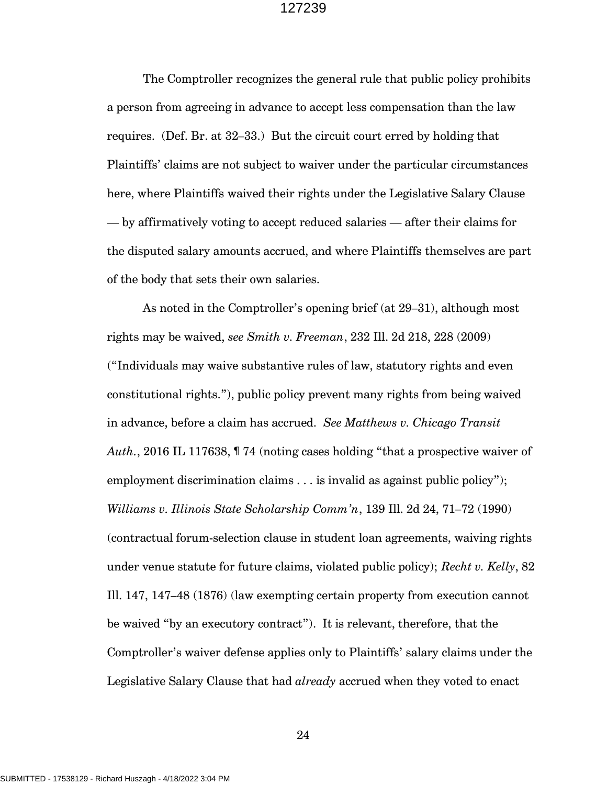The Comptroller recognizes the general rule that public policy prohibits a person from agreeing in advance to accept less compensation than the law requires. (Def. Br. at 32–33.) But the circuit court erred by holding that Plaintiffs' claims are not subject to waiver under the particular circumstances here, where Plaintiffs waived their rights under the Legislative Salary Clause — by affirmatively voting to accept reduced salaries — after their claims for the disputed salary amounts accrued, and where Plaintiffs themselves are part of the body that sets their own salaries.

 As noted in the Comptroller's opening brief (at 29–31), although most rights may be waived, see Smith v. Freeman, 232 Ill. 2d 218, 228 (2009) ("Individuals may waive substantive rules of law, statutory rights and even constitutional rights."), public policy prevent many rights from being waived in advance, before a claim has accrued. See Matthews v. Chicago Transit Auth., 2016 IL 117638, ¶ 74 (noting cases holding "that a prospective waiver of employment discrimination claims . . . is invalid as against public policy"); Williams v. Illinois State Scholarship Comm'n, 139 Ill. 2d 24, 71–72 (1990) (contractual forum-selection clause in student loan agreements, waiving rights under venue statute for future claims, violated public policy);  $Recht v.$  Kelly, 82 Ill. 147, 147–48 (1876) (law exempting certain property from execution cannot be waived "by an executory contract"). It is relevant, therefore, that the Comptroller's waiver defense applies only to Plaintiffs' salary claims under the Legislative Salary Clause that had already accrued when they voted to enact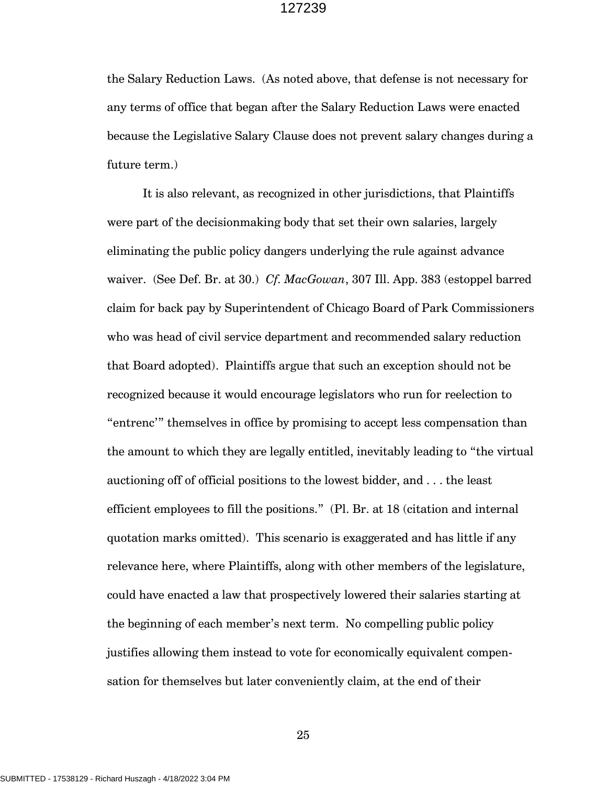the Salary Reduction Laws. (As noted above, that defense is not necessary for any terms of office that began after the Salary Reduction Laws were enacted because the Legislative Salary Clause does not prevent salary changes during a future term.)

 It is also relevant, as recognized in other jurisdictions, that Plaintiffs were part of the decisionmaking body that set their own salaries, largely eliminating the public policy dangers underlying the rule against advance waiver. (See Def. Br. at 30.) Cf. MacGowan, 307 Ill. App. 383 (estoppel barred claim for back pay by Superintendent of Chicago Board of Park Commissioners who was head of civil service department and recommended salary reduction that Board adopted). Plaintiffs argue that such an exception should not be recognized because it would encourage legislators who run for reelection to "entrenc'" themselves in office by promising to accept less compensation than the amount to which they are legally entitled, inevitably leading to "the virtual auctioning off of official positions to the lowest bidder, and . . . the least efficient employees to fill the positions." (Pl. Br. at 18 (citation and internal quotation marks omitted). This scenario is exaggerated and has little if any relevance here, where Plaintiffs, along with other members of the legislature, could have enacted a law that prospectively lowered their salaries starting at the beginning of each member's next term. No compelling public policy justifies allowing them instead to vote for economically equivalent compensation for themselves but later conveniently claim, at the end of their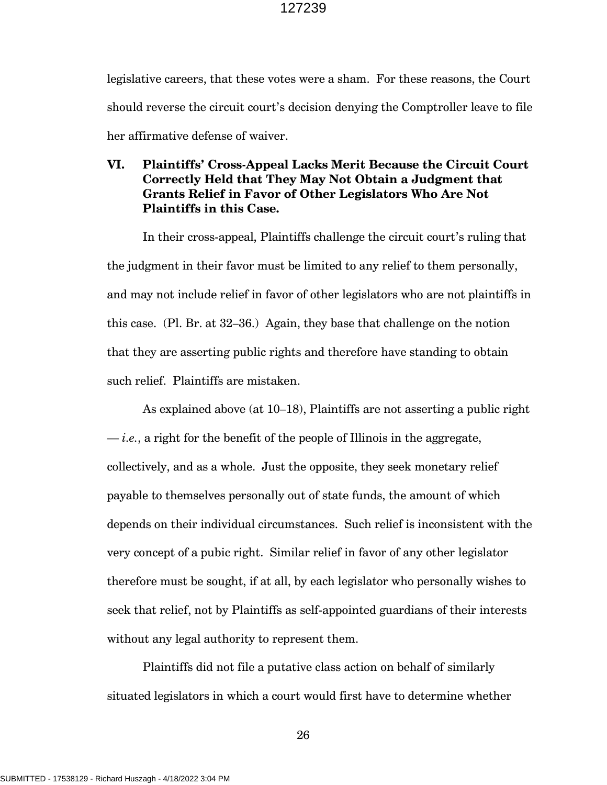legislative careers, that these votes were a sham. For these reasons, the Court should reverse the circuit court's decision denying the Comptroller leave to file her affirmative defense of waiver.

## VI. Plaintiffs' Cross-Appeal Lacks Merit Because the Circuit Court Correctly Held that They May Not Obtain a Judgment that Grants Relief in Favor of Other Legislators Who Are Not Plaintiffs in this Case.

 In their cross-appeal, Plaintiffs challenge the circuit court's ruling that the judgment in their favor must be limited to any relief to them personally, and may not include relief in favor of other legislators who are not plaintiffs in this case. (Pl. Br. at 32–36.) Again, they base that challenge on the notion that they are asserting public rights and therefore have standing to obtain such relief. Plaintiffs are mistaken.

 As explained above (at 10–18), Plaintiffs are not asserting a public right  $i.e.,$  a right for the benefit of the people of Illinois in the aggregate, collectively, and as a whole. Just the opposite, they seek monetary relief payable to themselves personally out of state funds, the amount of which depends on their individual circumstances. Such relief is inconsistent with the very concept of a pubic right. Similar relief in favor of any other legislator therefore must be sought, if at all, by each legislator who personally wishes to seek that relief, not by Plaintiffs as self-appointed guardians of their interests without any legal authority to represent them.

 Plaintiffs did not file a putative class action on behalf of similarly situated legislators in which a court would first have to determine whether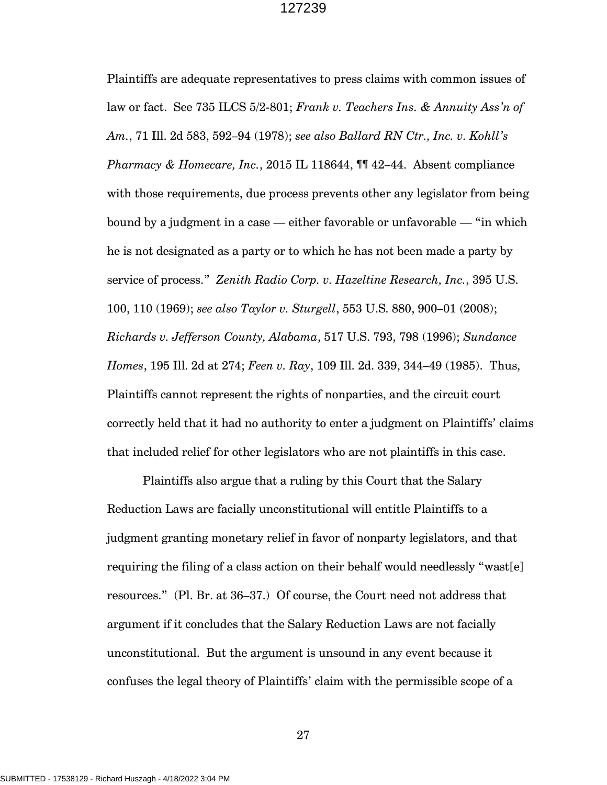Plaintiffs are adequate representatives to press claims with common issues of law or fact. See 735 ILCS 5/2-801; Frank v. Teachers Ins. & Annuity Ass'n of Am., 71 Ill. 2d 583, 592–94 (1978); see also Ballard RN Ctr., Inc. v. Kohll's Pharmacy & Homecare, Inc., 2015 IL 118644, ¶¶ 42–44. Absent compliance with those requirements, due process prevents other any legislator from being bound by a judgment in a case — either favorable or unfavorable — "in which he is not designated as a party or to which he has not been made a party by service of process." Zenith Radio Corp. v. Hazeltine Research, Inc., 395 U.S. 100, 110 (1969); see also Taylor v. Sturgell, 553 U.S. 880, 900–01 (2008); Richards v. Jefferson County, Alabama, 517 U.S. 793, 798 (1996); Sundance Homes, 195 Ill. 2d at 274; Feen v. Ray, 109 Ill. 2d. 339, 344–49 (1985). Thus, Plaintiffs cannot represent the rights of nonparties, and the circuit court correctly held that it had no authority to enter a judgment on Plaintiffs' claims that included relief for other legislators who are not plaintiffs in this case.

 Plaintiffs also argue that a ruling by this Court that the Salary Reduction Laws are facially unconstitutional will entitle Plaintiffs to a judgment granting monetary relief in favor of nonparty legislators, and that requiring the filing of a class action on their behalf would needlessly "wast[e] resources." (Pl. Br. at 36–37.) Of course, the Court need not address that argument if it concludes that the Salary Reduction Laws are not facially unconstitutional. But the argument is unsound in any event because it confuses the legal theory of Plaintiffs' claim with the permissible scope of a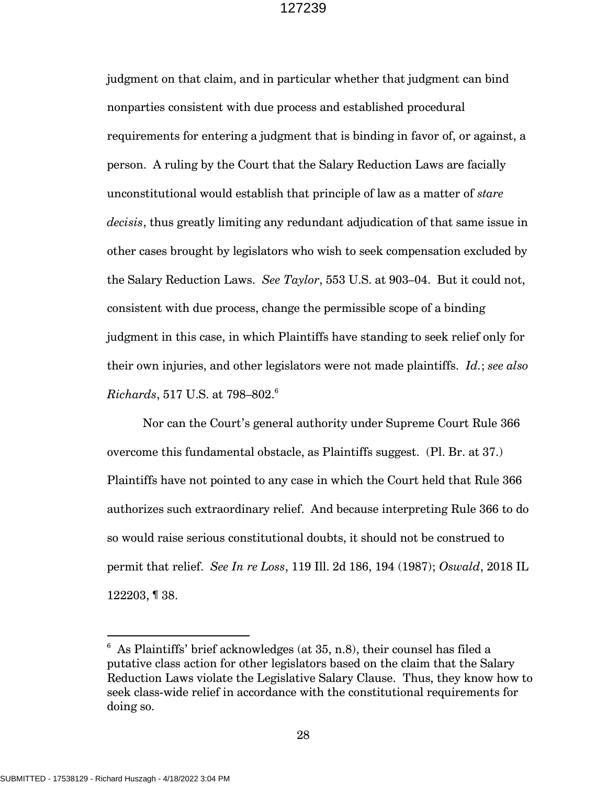judgment on that claim, and in particular whether that judgment can bind nonparties consistent with due process and established procedural requirements for entering a judgment that is binding in favor of, or against, a person. A ruling by the Court that the Salary Reduction Laws are facially unconstitutional would establish that principle of law as a matter of stare decisis, thus greatly limiting any redundant adjudication of that same issue in other cases brought by legislators who wish to seek compensation excluded by the Salary Reduction Laws. See Taylor, 553 U.S. at 903–04. But it could not, consistent with due process, change the permissible scope of a binding judgment in this case, in which Plaintiffs have standing to seek relief only for their own injuries, and other legislators were not made plaintiffs.  $Id$ ; see also Richards, 517 U.S. at 798–802.<sup>6</sup>

 Nor can the Court's general authority under Supreme Court Rule 366 overcome this fundamental obstacle, as Plaintiffs suggest. (Pl. Br. at 37.) Plaintiffs have not pointed to any case in which the Court held that Rule 366 authorizes such extraordinary relief. And because interpreting Rule 366 to do so would raise serious constitutional doubts, it should not be construed to permit that relief. See In re Loss, 119 Ill. 2d 186, 194 (1987); Oswald, 2018 IL 122203, ¶ 38.

-

 $6$  As Plaintiffs' brief acknowledges (at 35, n.8), their counsel has filed a putative class action for other legislators based on the claim that the Salary Reduction Laws violate the Legislative Salary Clause. Thus, they know how to seek class-wide relief in accordance with the constitutional requirements for doing so.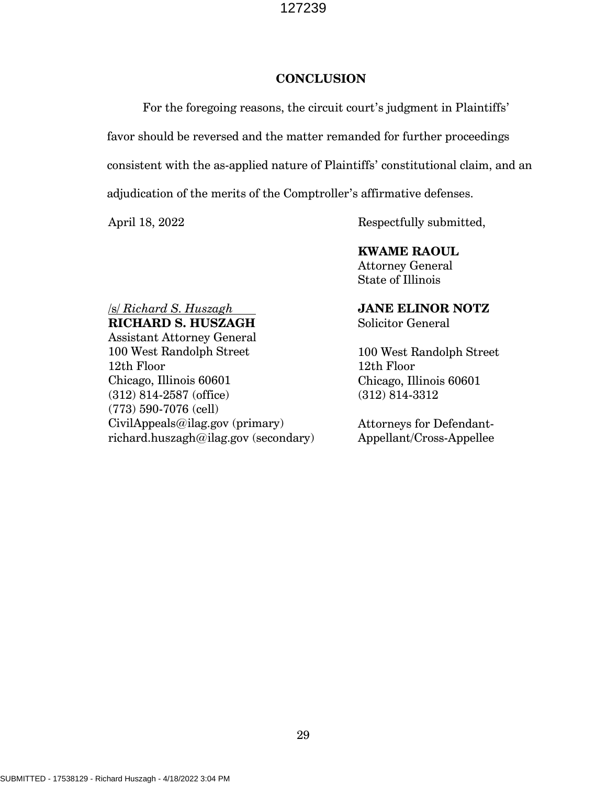#### **CONCLUSION**

 For the foregoing reasons, the circuit court's judgment in Plaintiffs' favor should be reversed and the matter remanded for further proceedings consistent with the as-applied nature of Plaintiffs' constitutional claim, and an

adjudication of the merits of the Comptroller's affirmative defenses.

April 18, 2022

Respectfully submitted,

KWAME RAOUL Attorney General

State of Illinois

JANE ELINOR NOTZ Solicitor General

100 West Randolph Street 12th Floor Chicago, Illinois 60601 (312) 814-3312

Attorneys for Defendant-Appellant/Cross-Appellee

/s/ Richard S. Huszagh RICHARD S. HUSZAGH

Assistant Attorney General 100 West Randolph Street 12th Floor Chicago, Illinois 60601 (312) 814-2587 (office) (773) 590-7076 (cell) CivilAppeals@ilag.gov (primary) richard.huszagh@ilag.gov (secondary)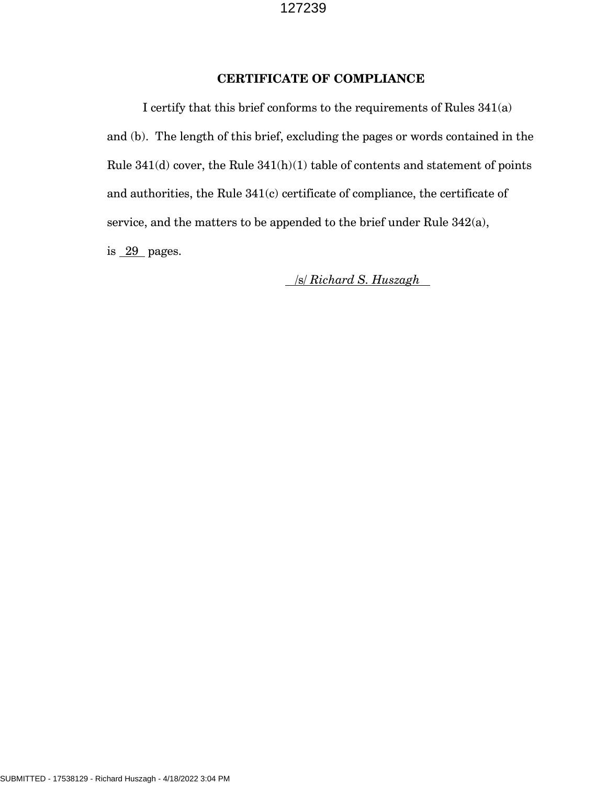### CERTIFICATE OF COMPLIANCE

 I certify that this brief conforms to the requirements of Rules 341(a) and (b). The length of this brief, excluding the pages or words contained in the Rule 341(d) cover, the Rule 341(h)(1) table of contents and statement of points and authorities, the Rule 341(c) certificate of compliance, the certificate of service, and the matters to be appended to the brief under Rule 342(a), is 29 pages.

/s/ Richard S. Huszagh